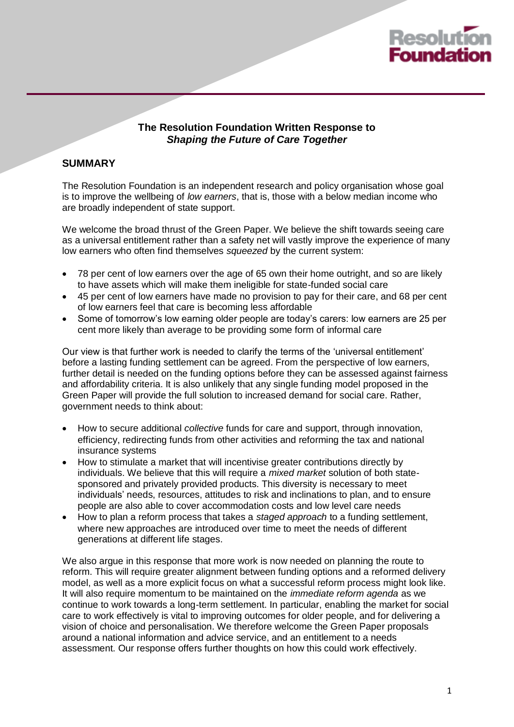

#### **The Resolution Foundation Written Response to**  *Shaping the Future of Care Together*

### **SUMMARY**

The Resolution Foundation is an independent research and policy organisation whose goal is to improve the wellbeing of *low earners*, that is, those with a below median income who are broadly independent of state support.

We welcome the broad thrust of the Green Paper. We believe the shift towards seeing care as a universal entitlement rather than a safety net will vastly improve the experience of many low earners who often find themselves *squeezed* by the current system:

- 78 per cent of low earners over the age of 65 own their home outright, and so are likely to have assets which will make them ineligible for state-funded social care
- 45 per cent of low earners have made no provision to pay for their care, and 68 per cent of low earners feel that care is becoming less affordable
- Some of tomorrow's low earning older people are today's carers: low earners are 25 per cent more likely than average to be providing some form of informal care

Our view is that further work is needed to clarify the terms of the 'universal entitlement' before a lasting funding settlement can be agreed. From the perspective of low earners, further detail is needed on the funding options before they can be assessed against fairness and affordability criteria. It is also unlikely that any single funding model proposed in the Green Paper will provide the full solution to increased demand for social care. Rather, government needs to think about:

- How to secure additional *collective* funds for care and support, through innovation, efficiency, redirecting funds from other activities and reforming the tax and national insurance systems
- How to stimulate a market that will incentivise greater contributions directly by individuals. We believe that this will require a *mixed market* solution of both statesponsored and privately provided products. This diversity is necessary to meet individuals' needs, resources, attitudes to risk and inclinations to plan, and to ensure people are also able to cover accommodation costs and low level care needs
- How to plan a reform process that takes a *staged approach* to a funding settlement, where new approaches are introduced over time to meet the needs of different generations at different life stages.

We also argue in this response that more work is now needed on planning the route to reform. This will require greater alignment between funding options and a reformed delivery model, as well as a more explicit focus on what a successful reform process might look like. It will also require momentum to be maintained on the *immediate reform agenda* as we continue to work towards a long-term settlement. In particular, enabling the market for social care to work effectively is vital to improving outcomes for older people, and for delivering a vision of choice and personalisation. We therefore welcome the Green Paper proposals around a national information and advice service, and an entitlement to a needs assessment. Our response offers further thoughts on how this could work effectively.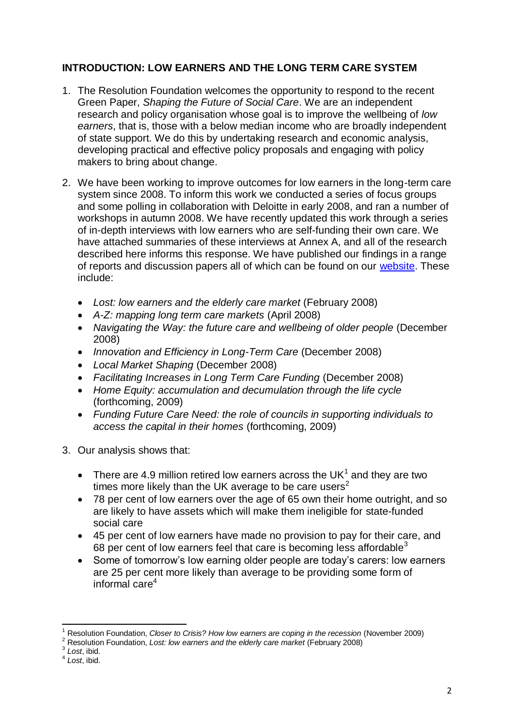# **INTRODUCTION: LOW EARNERS AND THE LONG TERM CARE SYSTEM**

- 1. The Resolution Foundation welcomes the opportunity to respond to the recent Green Paper, *Shaping the Future of Social Care*. We are an independent research and policy organisation whose goal is to improve the wellbeing of *low earners*, that is, those with a below median income who are broadly independent of state support. We do this by undertaking research and economic analysis, developing practical and effective policy proposals and engaging with policy makers to bring about change.
- 2. We have been working to improve outcomes for low earners in the long-term care system since 2008. To inform this work we conducted a series of focus groups and some polling in collaboration with Deloitte in early 2008, and ran a number of workshops in autumn 2008. We have recently updated this work through a series of in-depth interviews with low earners who are self-funding their own care. We have attached summaries of these interviews at Annex A, and all of the research described here informs this response. We have published our findings in a range of reports and discussion papers all of which can be found on our [website.](http://www.resolutionfoundation.org/research_long_term_care.html) These include:
	- *Lost: low earners and the elderly care market* (February 2008)
	- *A-Z: mapping long term care markets* (April 2008)
	- Navigating the Way: the future care and wellbeing of older people (December 2008)
	- *Innovation and Efficiency in Long-Term Care* (December 2008)
	- *Local Market Shaping* (December 2008)
	- *Facilitating Increases in Long Term Care Funding* (December 2008)
	- *Home Equity: accumulation and decumulation through the life cycle*  (forthcoming, 2009)
	- *Funding Future Care Need: the role of councils in supporting individuals to access the capital in their homes* (forthcoming, 2009)
- 3. Our analysis shows that:
	- There are 4.9 million retired low earners across the UK $^1$  and they are two times more likely than the UK average to be care users<sup>2</sup>
	- 78 per cent of low earners over the age of 65 own their home outright, and so are likely to have assets which will make them ineligible for state-funded social care
	- 45 per cent of low earners have made no provision to pay for their care, and 68 per cent of low earners feel that care is becoming less affordable $3$
	- Some of tomorrow's low earning older people are today's carers: low earners are 25 per cent more likely than average to be providing some form of informal care<sup>4</sup>

 $\overline{\phantom{a}}$ <sup>1</sup> Resolution Foundation, *Closer to Crisis? How low earners are coping in the recession* (November 2009)

<sup>2</sup> Resolution Foundation, *Lost: low earners and the elderly care market* (February 2008)

<sup>3</sup> *Lost*, ibid.

<sup>4</sup> *Lost*, ibid.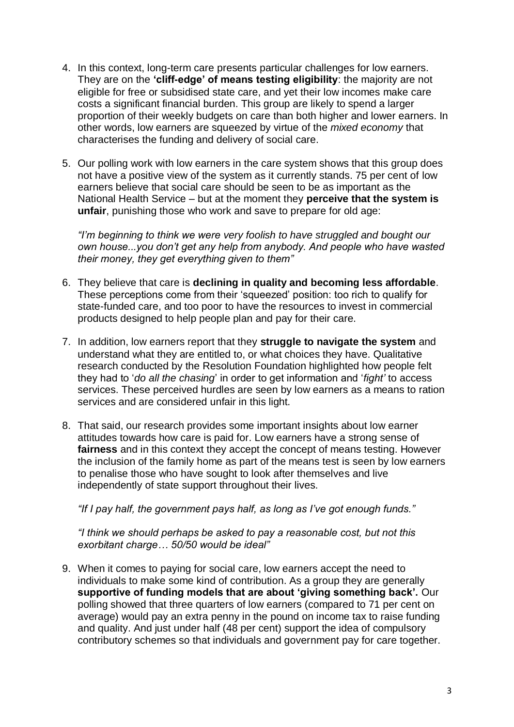- 4. In this context, long-term care presents particular challenges for low earners. They are on the **'cliff-edge' of means testing eligibility**: the majority are not eligible for free or subsidised state care, and yet their low incomes make care costs a significant financial burden. This group are likely to spend a larger proportion of their weekly budgets on care than both higher and lower earners. In other words, low earners are squeezed by virtue of the *mixed economy* that characterises the funding and delivery of social care.
- 5. Our polling work with low earners in the care system shows that this group does not have a positive view of the system as it currently stands. 75 per cent of low earners believe that social care should be seen to be as important as the National Health Service – but at the moment they **perceive that the system is unfair**, punishing those who work and save to prepare for old age:

*"I"m beginning to think we were very foolish to have struggled and bought our own house...you don"t get any help from anybody. And people who have wasted their money, they get everything given to them"*

- 6. They believe that care is **declining in quality and becoming less affordable**. These perceptions come from their 'squeezed' position: too rich to qualify for state-funded care, and too poor to have the resources to invest in commercial products designed to help people plan and pay for their care.
- 7. In addition, low earners report that they **struggle to navigate the system** and understand what they are entitled to, or what choices they have. Qualitative research conducted by the Resolution Foundation highlighted how people felt they had to '*do all the chasing*' in order to get information and '*fight"* to access services. These perceived hurdles are seen by low earners as a means to ration services and are considered unfair in this light.
- 8. That said, our research provides some important insights about low earner attitudes towards how care is paid for. Low earners have a strong sense of **fairness** and in this context they accept the concept of means testing. However the inclusion of the family home as part of the means test is seen by low earners to penalise those who have sought to look after themselves and live independently of state support throughout their lives.

*"If I pay half, the government pays half, as long as I"ve got enough funds."*

*"I think we should perhaps be asked to pay a reasonable cost, but not this exorbitant charge… 50/50 would be ideal"*

9. When it comes to paying for social care, low earners accept the need to individuals to make some kind of contribution. As a group they are generally **supportive of funding models that are about 'giving something back'.** Our polling showed that three quarters of low earners (compared to 71 per cent on average) would pay an extra penny in the pound on income tax to raise funding and quality. And just under half (48 per cent) support the idea of compulsory contributory schemes so that individuals and government pay for care together.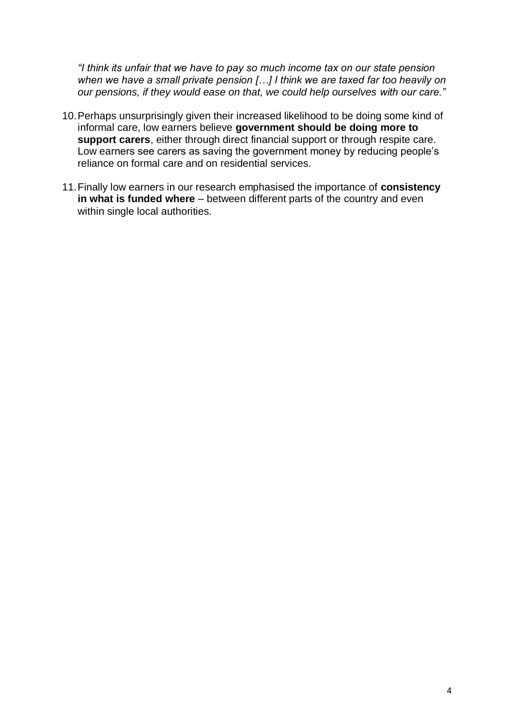*"I think its unfair that we have to pay so much income tax on our state pension when we have a small private pension […] I think we are taxed far too heavily on our pensions, if they would ease on that, we could help ourselves with our care."*

- 10.Perhaps unsurprisingly given their increased likelihood to be doing some kind of informal care, low earners believe **government should be doing more to support carers**, either through direct financial support or through respite care. Low earners see carers as saving the government money by reducing people's reliance on formal care and on residential services.
- 11.Finally low earners in our research emphasised the importance of **consistency in what is funded where** – between different parts of the country and even within single local authorities.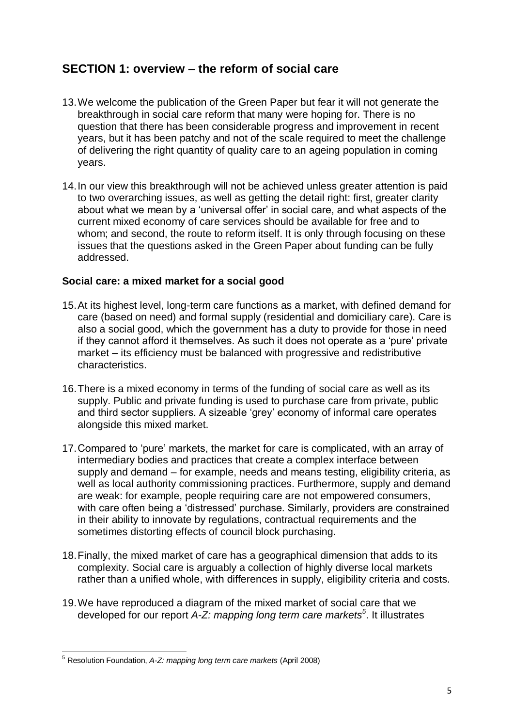# **SECTION 1: overview – the reform of social care**

- 13.We welcome the publication of the Green Paper but fear it will not generate the breakthrough in social care reform that many were hoping for. There is no question that there has been considerable progress and improvement in recent years, but it has been patchy and not of the scale required to meet the challenge of delivering the right quantity of quality care to an ageing population in coming years.
- 14.In our view this breakthrough will not be achieved unless greater attention is paid to two overarching issues, as well as getting the detail right: first, greater clarity about what we mean by a 'universal offer' in social care, and what aspects of the current mixed economy of care services should be available for free and to whom; and second, the route to reform itself. It is only through focusing on these issues that the questions asked in the Green Paper about funding can be fully addressed.

#### **Social care: a mixed market for a social good**

- 15.At its highest level, long-term care functions as a market, with defined demand for care (based on need) and formal supply (residential and domiciliary care). Care is also a social good, which the government has a duty to provide for those in need if they cannot afford it themselves. As such it does not operate as a 'pure' private market – its efficiency must be balanced with progressive and redistributive characteristics.
- 16.There is a mixed economy in terms of the funding of social care as well as its supply. Public and private funding is used to purchase care from private, public and third sector suppliers. A sizeable 'grey' economy of informal care operates alongside this mixed market.
- 17.Compared to 'pure' markets, the market for care is complicated, with an array of intermediary bodies and practices that create a complex interface between supply and demand – for example, needs and means testing, eligibility criteria, as well as local authority commissioning practices. Furthermore, supply and demand are weak: for example, people requiring care are not empowered consumers, with care often being a 'distressed' purchase. Similarly, providers are constrained in their ability to innovate by regulations, contractual requirements and the sometimes distorting effects of council block purchasing.
- 18.Finally, the mixed market of care has a geographical dimension that adds to its complexity. Social care is arguably a collection of highly diverse local markets rather than a unified whole, with differences in supply, eligibility criteria and costs.
- 19.We have reproduced a diagram of the mixed market of social care that we developed for our report *A-Z: mapping long term care markets<sup>5</sup>* . It illustrates

**<sup>.</sup>** <sup>5</sup> Resolution Foundation, *A-Z: mapping long term care markets* (April 2008)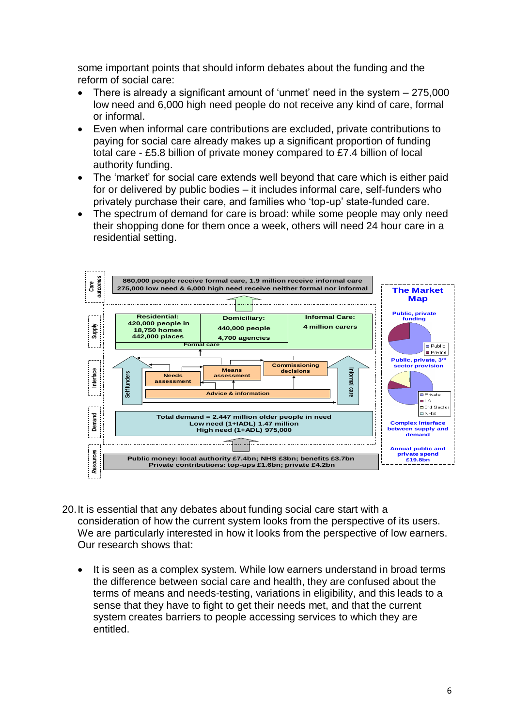some important points that should inform debates about the funding and the reform of social care:

- There is already a significant amount of 'unmet' need in the system 275,000 low need and 6,000 high need people do not receive any kind of care, formal or informal.
- Even when informal care contributions are excluded, private contributions to paying for social care already makes up a significant proportion of funding total care - £5.8 billion of private money compared to £7.4 billion of local authority funding.
- The 'market' for social care extends well beyond that care which is either paid for or delivered by public bodies – it includes informal care, self-funders who privately purchase their care, and families who 'top-up' state-funded care.
- The spectrum of demand for care is broad: while some people may only need their shopping done for them once a week, others will need 24 hour care in a residential setting.



- 20.It is essential that any debates about funding social care start with a consideration of how the current system looks from the perspective of its users. We are particularly interested in how it looks from the perspective of low earners. Our research shows that:
	- It is seen as a complex system. While low earners understand in broad terms the difference between social care and health, they are confused about the terms of means and needs-testing, variations in eligibility, and this leads to a sense that they have to fight to get their needs met, and that the current system creates barriers to people accessing services to which they are entitled.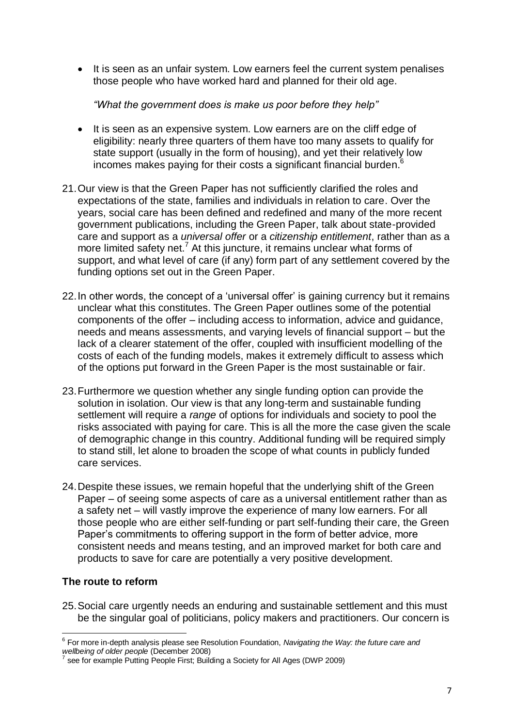• It is seen as an unfair system. Low earners feel the current system penalises those people who have worked hard and planned for their old age.

*"What the government does is make us poor before they help"*

- It is seen as an expensive system. Low earners are on the cliff edge of eligibility: nearly three quarters of them have too many assets to qualify for state support (usually in the form of housing), and yet their relatively low incomes makes paying for their costs a significant financial burden. $6$
- 21.Our view is that the Green Paper has not sufficiently clarified the roles and expectations of the state, families and individuals in relation to care. Over the years, social care has been defined and redefined and many of the more recent government publications, including the Green Paper, talk about state-provided care and support as a *universal offer* or a *citizenship entitlement*, rather than as a more limited safety net.<sup>7</sup> At this juncture, it remains unclear what forms of support, and what level of care (if any) form part of any settlement covered by the funding options set out in the Green Paper.
- 22.In other words, the concept of a 'universal offer' is gaining currency but it remains unclear what this constitutes. The Green Paper outlines some of the potential components of the offer – including access to information, advice and guidance, needs and means assessments, and varying levels of financial support – but the lack of a clearer statement of the offer, coupled with insufficient modelling of the costs of each of the funding models, makes it extremely difficult to assess which of the options put forward in the Green Paper is the most sustainable or fair.
- 23.Furthermore we question whether any single funding option can provide the solution in isolation. Our view is that any long-term and sustainable funding settlement will require a *range* of options for individuals and society to pool the risks associated with paying for care. This is all the more the case given the scale of demographic change in this country. Additional funding will be required simply to stand still, let alone to broaden the scope of what counts in publicly funded care services.
- 24.Despite these issues, we remain hopeful that the underlying shift of the Green Paper – of seeing some aspects of care as a universal entitlement rather than as a safety net – will vastly improve the experience of many low earners. For all those people who are either self-funding or part self-funding their care, the Green Paper's commitments to offering support in the form of better advice, more consistent needs and means testing, and an improved market for both care and products to save for care are potentially a very positive development.

# **The route to reform**

25.Social care urgently needs an enduring and sustainable settlement and this must be the singular goal of politicians, policy makers and practitioners. Our concern is

 6 For more in-depth analysis please see Resolution Foundation, *Navigating the Way: the future care and wellbeing of older people* (December 2008)

<sup>7</sup> see for example Putting People First; Building a Society for All Ages (DWP 2009)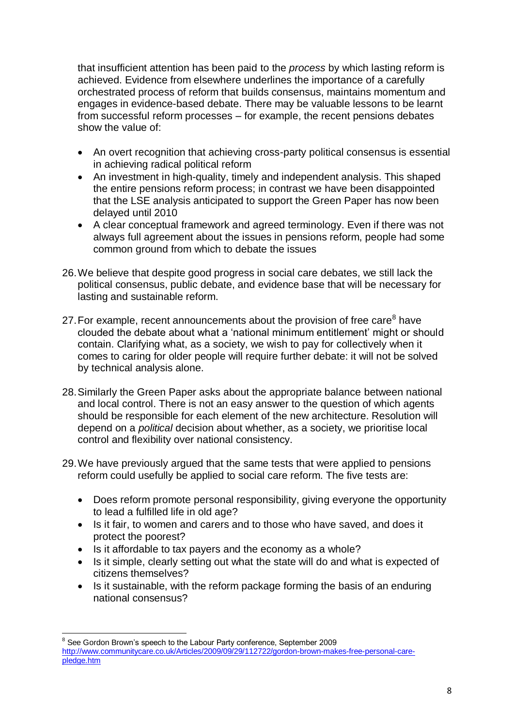that insufficient attention has been paid to the *process* by which lasting reform is achieved. Evidence from elsewhere underlines the importance of a carefully orchestrated process of reform that builds consensus, maintains momentum and engages in evidence-based debate. There may be valuable lessons to be learnt from successful reform processes – for example, the recent pensions debates show the value of:

- An overt recognition that achieving cross-party political consensus is essential in achieving radical political reform
- An investment in high-quality, timely and independent analysis. This shaped the entire pensions reform process; in contrast we have been disappointed that the LSE analysis anticipated to support the Green Paper has now been delayed until 2010
- A clear conceptual framework and agreed terminology. Even if there was not always full agreement about the issues in pensions reform, people had some common ground from which to debate the issues
- 26.We believe that despite good progress in social care debates, we still lack the political consensus, public debate, and evidence base that will be necessary for lasting and sustainable reform.
- 27. For example, recent announcements about the provision of free care $^8$  have clouded the debate about what a 'national minimum entitlement' might or should contain. Clarifying what, as a society, we wish to pay for collectively when it comes to caring for older people will require further debate: it will not be solved by technical analysis alone.
- 28.Similarly the Green Paper asks about the appropriate balance between national and local control. There is not an easy answer to the question of which agents should be responsible for each element of the new architecture. Resolution will depend on a *political* decision about whether, as a society, we prioritise local control and flexibility over national consistency.
- 29.We have previously argued that the same tests that were applied to pensions reform could usefully be applied to social care reform. The five tests are:
	- Does reform promote personal responsibility, giving everyone the opportunity to lead a fulfilled life in old age?
	- Is it fair, to women and carers and to those who have saved, and does it protect the poorest?
	- Is it affordable to tax payers and the economy as a whole?
	- Is it simple, clearly setting out what the state will do and what is expected of citizens themselves?
	- Is it sustainable, with the reform package forming the basis of an enduring national consensus?

 $\overline{\phantom{a}}$ <sup>8</sup> See Gordon Brown's speech to the Labour Party conference, September 2009 [http://www.communitycare.co.uk/Articles/2009/09/29/112722/gordon-brown-makes-free-personal-care](http://www.communitycare.co.uk/Articles/2009/09/29/112722/gordon-brown-makes-free-personal-care-pledge.htm)[pledge.htm](http://www.communitycare.co.uk/Articles/2009/09/29/112722/gordon-brown-makes-free-personal-care-pledge.htm)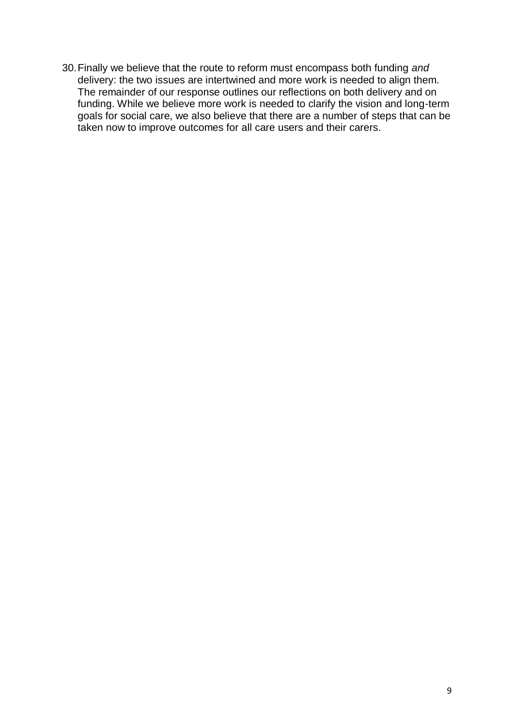30.Finally we believe that the route to reform must encompass both funding *and*  delivery: the two issues are intertwined and more work is needed to align them. The remainder of our response outlines our reflections on both delivery and on funding. While we believe more work is needed to clarify the vision and long-term goals for social care, we also believe that there are a number of steps that can be taken now to improve outcomes for all care users and their carers.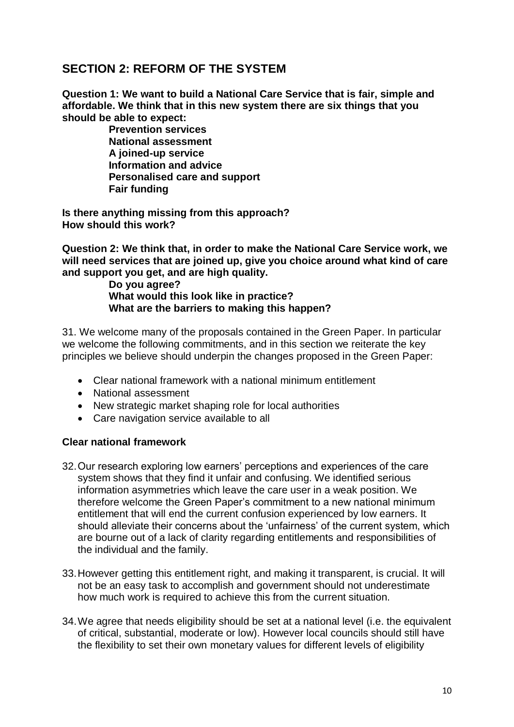# **SECTION 2: REFORM OF THE SYSTEM**

**Question 1: We want to build a National Care Service that is fair, simple and affordable. We think that in this new system there are six things that you should be able to expect:** 

> **Prevention services National assessment A joined-up service Information and advice Personalised care and support Fair funding**

**Is there anything missing from this approach? How should this work?** 

**Question 2: We think that, in order to make the National Care Service work, we will need services that are joined up, give you choice around what kind of care and support you get, and are high quality.** 

**Do you agree? What would this look like in practice? What are the barriers to making this happen?**

31. We welcome many of the proposals contained in the Green Paper. In particular we welcome the following commitments, and in this section we reiterate the key principles we believe should underpin the changes proposed in the Green Paper:

- Clear national framework with a national minimum entitlement
- National assessment
- New strategic market shaping role for local authorities
- Care navigation service available to all

#### **Clear national framework**

- 32.Our research exploring low earners' perceptions and experiences of the care system shows that they find it unfair and confusing. We identified serious information asymmetries which leave the care user in a weak position. We therefore welcome the Green Paper's commitment to a new national minimum entitlement that will end the current confusion experienced by low earners. It should alleviate their concerns about the 'unfairness' of the current system, which are bourne out of a lack of clarity regarding entitlements and responsibilities of the individual and the family.
- 33.However getting this entitlement right, and making it transparent, is crucial. It will not be an easy task to accomplish and government should not underestimate how much work is required to achieve this from the current situation.
- 34.We agree that needs eligibility should be set at a national level (i.e. the equivalent of critical, substantial, moderate or low). However local councils should still have the flexibility to set their own monetary values for different levels of eligibility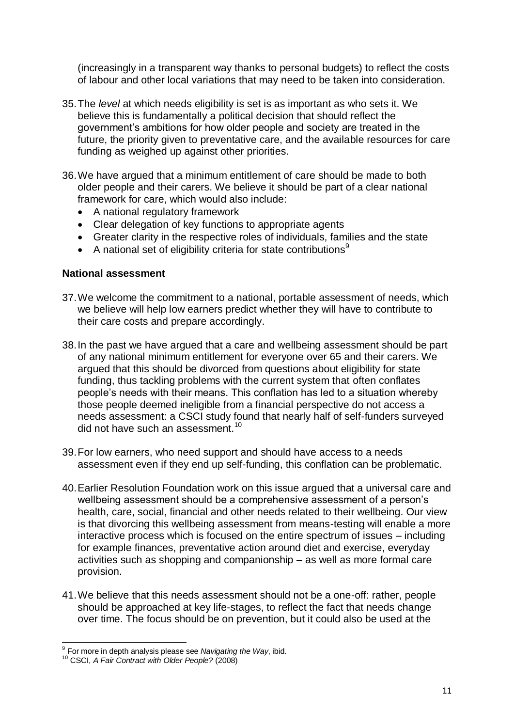(increasingly in a transparent way thanks to personal budgets) to reflect the costs of labour and other local variations that may need to be taken into consideration.

- 35.The *level* at which needs eligibility is set is as important as who sets it. We believe this is fundamentally a political decision that should reflect the government's ambitions for how older people and society are treated in the future, the priority given to preventative care, and the available resources for care funding as weighed up against other priorities.
- 36.We have argued that a minimum entitlement of care should be made to both older people and their carers. We believe it should be part of a clear national framework for care, which would also include:
	- A national regulatory framework
	- Clear delegation of key functions to appropriate agents
	- Greater clarity in the respective roles of individuals, families and the state
	- A national set of eligibility criteria for state contributions<sup>9</sup>

#### **National assessment**

- 37.We welcome the commitment to a national, portable assessment of needs, which we believe will help low earners predict whether they will have to contribute to their care costs and prepare accordingly.
- 38.In the past we have argued that a care and wellbeing assessment should be part of any national minimum entitlement for everyone over 65 and their carers. We argued that this should be divorced from questions about eligibility for state funding, thus tackling problems with the current system that often conflates people's needs with their means. This conflation has led to a situation whereby those people deemed ineligible from a financial perspective do not access a needs assessment: a CSCI study found that nearly half of self-funders surveyed did not have such an assessment. $10<sup>10</sup>$
- 39.For low earners, who need support and should have access to a needs assessment even if they end up self-funding, this conflation can be problematic.
- 40.Earlier Resolution Foundation work on this issue argued that a universal care and wellbeing assessment should be a comprehensive assessment of a person's health, care, social, financial and other needs related to their wellbeing. Our view is that divorcing this wellbeing assessment from means-testing will enable a more interactive process which is focused on the entire spectrum of issues – including for example finances, preventative action around diet and exercise, everyday activities such as shopping and companionship – as well as more formal care provision.
- 41.We believe that this needs assessment should not be a one-off: rather, people should be approached at key life-stages, to reflect the fact that needs change over time. The focus should be on prevention, but it could also be used at the

 9 For more in depth analysis please see *Navigating the Way*, ibid.

<sup>10</sup> CSCI, *A Fair Contract with Older People?* (2008)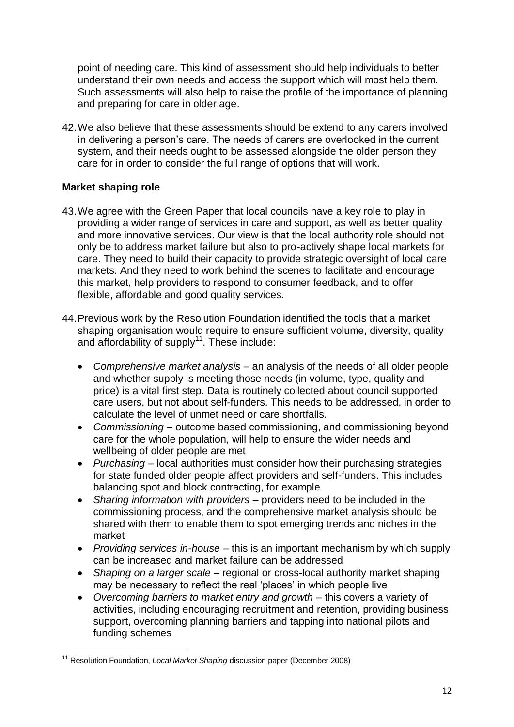point of needing care. This kind of assessment should help individuals to better understand their own needs and access the support which will most help them. Such assessments will also help to raise the profile of the importance of planning and preparing for care in older age.

42.We also believe that these assessments should be extend to any carers involved in delivering a person's care. The needs of carers are overlooked in the current system, and their needs ought to be assessed alongside the older person they care for in order to consider the full range of options that will work.

# **Market shaping role**

- 43.We agree with the Green Paper that local councils have a key role to play in providing a wider range of services in care and support, as well as better quality and more innovative services. Our view is that the local authority role should not only be to address market failure but also to pro-actively shape local markets for care. They need to build their capacity to provide strategic oversight of local care markets. And they need to work behind the scenes to facilitate and encourage this market, help providers to respond to consumer feedback, and to offer flexible, affordable and good quality services.
- 44.Previous work by the Resolution Foundation identified the tools that a market shaping organisation would require to ensure sufficient volume, diversity, quality and affordability of supply<sup>11</sup>. These include:
	- *Comprehensive market analysis* an analysis of the needs of all older people and whether supply is meeting those needs (in volume, type, quality and price) is a vital first step. Data is routinely collected about council supported care users, but not about self-funders. This needs to be addressed, in order to calculate the level of unmet need or care shortfalls.
	- *Commissioning* outcome based commissioning, and commissioning beyond care for the whole population, will help to ensure the wider needs and wellbeing of older people are met
	- *Purchasing* local authorities must consider how their purchasing strategies for state funded older people affect providers and self-funders. This includes balancing spot and block contracting, for example
	- *Sharing information with providers* providers need to be included in the commissioning process, and the comprehensive market analysis should be shared with them to enable them to spot emerging trends and niches in the market
	- *Providing services in-house* this is an important mechanism by which supply can be increased and market failure can be addressed
	- *Shaping on a larger scale* regional or cross-local authority market shaping may be necessary to reflect the real 'places' in which people live
	- *Overcoming barriers to market entry and growth* this covers a variety of activities, including encouraging recruitment and retention, providing business support, overcoming planning barriers and tapping into national pilots and funding schemes

**<sup>.</sup>** <sup>11</sup> Resolution Foundation, *Local Market Shaping* discussion paper (December 2008)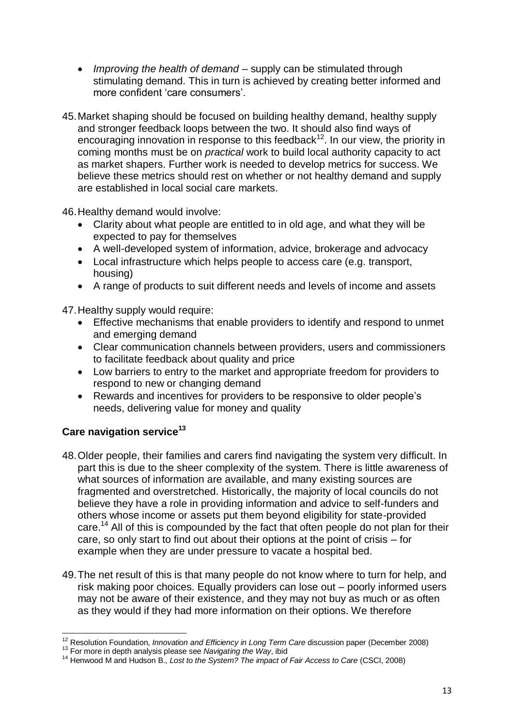- *Improving the health of demand* supply can be stimulated through stimulating demand. This in turn is achieved by creating better informed and more confident 'care consumers'.
- 45.Market shaping should be focused on building healthy demand, healthy supply and stronger feedback loops between the two. It should also find ways of encouraging innovation in response to this feedback<sup>12</sup>. In our view, the priority in coming months must be on *practical* work to build local authority capacity to act as market shapers. Further work is needed to develop metrics for success. We believe these metrics should rest on whether or not healthy demand and supply are established in local social care markets.

46.Healthy demand would involve:

- Clarity about what people are entitled to in old age, and what they will be expected to pay for themselves
- A well-developed system of information, advice, brokerage and advocacy
- Local infrastructure which helps people to access care (e.g. transport, housing)
- A range of products to suit different needs and levels of income and assets

47.Healthy supply would require:

- Effective mechanisms that enable providers to identify and respond to unmet and emerging demand
- Clear communication channels between providers, users and commissioners to facilitate feedback about quality and price
- Low barriers to entry to the market and appropriate freedom for providers to respond to new or changing demand
- Rewards and incentives for providers to be responsive to older people's needs, delivering value for money and quality

# **Care navigation service<sup>13</sup>**

- 48.Older people, their families and carers find navigating the system very difficult. In part this is due to the sheer complexity of the system. There is little awareness of what sources of information are available, and many existing sources are fragmented and overstretched. Historically, the majority of local councils do not believe they have a role in providing information and advice to self-funders and others whose income or assets put them beyond eligibility for state-provided care.<sup>14</sup> All of this is compounded by the fact that often people do not plan for their care, so only start to find out about their options at the point of crisis – for example when they are under pressure to vacate a hospital bed.
- 49.The net result of this is that many people do not know where to turn for help, and risk making poor choices. Equally providers can lose out – poorly informed users may not be aware of their existence, and they may not buy as much or as often as they would if they had more information on their options. We therefore

 $\overline{\phantom{a}}$ <sup>12</sup> Resolution Foundation, *Innovation and Efficiency in Long Term Care* discussion paper (December 2008)

<sup>13</sup> For more in depth analysis please see *Navigating the Way*, ibid

<sup>14</sup> Henwood M and Hudson B., *Lost to the System? The impact of Fair Access to Care* (CSCI, 2008)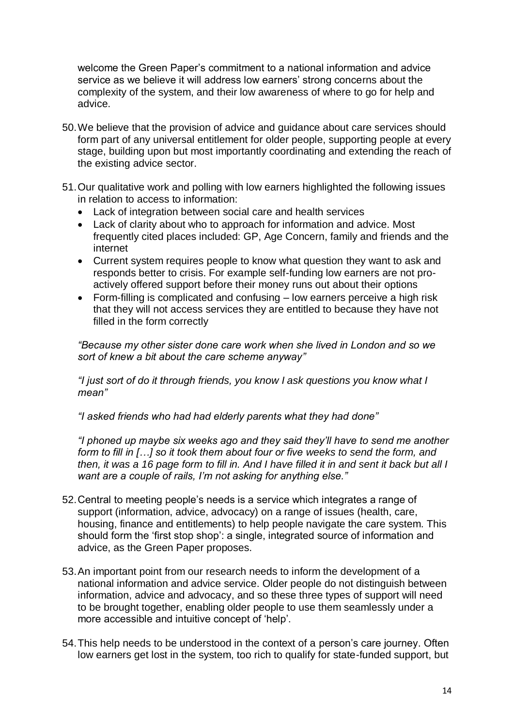welcome the Green Paper's commitment to a national information and advice service as we believe it will address low earners' strong concerns about the complexity of the system, and their low awareness of where to go for help and advice.

- 50.We believe that the provision of advice and guidance about care services should form part of any universal entitlement for older people, supporting people at every stage, building upon but most importantly coordinating and extending the reach of the existing advice sector.
- 51.Our qualitative work and polling with low earners highlighted the following issues in relation to access to information:
	- Lack of integration between social care and health services
	- Lack of clarity about who to approach for information and advice. Most frequently cited places included: GP, Age Concern, family and friends and the internet
	- Current system requires people to know what question they want to ask and responds better to crisis. For example self-funding low earners are not proactively offered support before their money runs out about their options
	- Form-filling is complicated and confusing low earners perceive a high risk that they will not access services they are entitled to because they have not filled in the form correctly

*"Because my other sister done care work when she lived in London and so we sort of knew a bit about the care scheme anyway"*

*"I just sort of do it through friends, you know I ask questions you know what I mean"*

*"I asked friends who had had elderly parents what they had done"*

*"I phoned up maybe six weeks ago and they said they"ll have to send me another form to fill in […] so it took them about four or five weeks to send the form, and then, it was a 16 page form to fill in. And I have filled it in and sent it back but all I want are a couple of rails, I"m not asking for anything else."*

- 52.Central to meeting people's needs is a service which integrates a range of support (information, advice, advocacy) on a range of issues (health, care, housing, finance and entitlements) to help people navigate the care system. This should form the 'first stop shop': a single, integrated source of information and advice, as the Green Paper proposes.
- 53.An important point from our research needs to inform the development of a national information and advice service. Older people do not distinguish between information, advice and advocacy, and so these three types of support will need to be brought together, enabling older people to use them seamlessly under a more accessible and intuitive concept of 'help'.
- 54.This help needs to be understood in the context of a person's care journey. Often low earners get lost in the system, too rich to qualify for state-funded support, but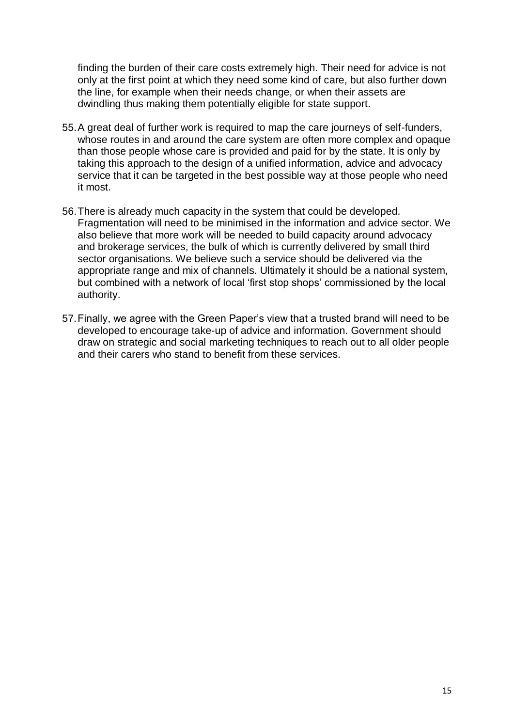finding the burden of their care costs extremely high. Their need for advice is not only at the first point at which they need some kind of care, but also further down the line, for example when their needs change, or when their assets are dwindling thus making them potentially eligible for state support.

- 55.A great deal of further work is required to map the care journeys of self-funders, whose routes in and around the care system are often more complex and opaque than those people whose care is provided and paid for by the state. It is only by taking this approach to the design of a unified information, advice and advocacy service that it can be targeted in the best possible way at those people who need it most.
- 56.There is already much capacity in the system that could be developed. Fragmentation will need to be minimised in the information and advice sector. We also believe that more work will be needed to build capacity around advocacy and brokerage services, the bulk of which is currently delivered by small third sector organisations. We believe such a service should be delivered via the appropriate range and mix of channels. Ultimately it should be a national system, but combined with a network of local 'first stop shops' commissioned by the local authority.
- 57.Finally, we agree with the Green Paper's view that a trusted brand will need to be developed to encourage take-up of advice and information. Government should draw on strategic and social marketing techniques to reach out to all older people and their carers who stand to benefit from these services.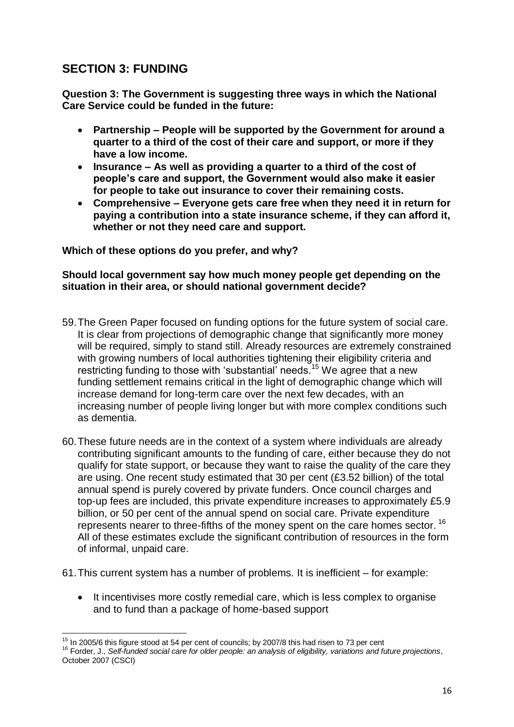# **SECTION 3: FUNDING**

**Question 3: The Government is suggesting three ways in which the National Care Service could be funded in the future:** 

- **Partnership – People will be supported by the Government for around a quarter to a third of the cost of their care and support, or more if they have a low income.**
- **Insurance – As well as providing a quarter to a third of the cost of people's care and support, the Government would also make it easier for people to take out insurance to cover their remaining costs.**
- **Comprehensive – Everyone gets care free when they need it in return for paying a contribution into a state insurance scheme, if they can afford it, whether or not they need care and support.**

#### **Which of these options do you prefer, and why?**

#### **Should local government say how much money people get depending on the situation in their area, or should national government decide?**

- 59.The Green Paper focused on funding options for the future system of social care. It is clear from projections of demographic change that significantly more money will be required, simply to stand still. Already resources are extremely constrained with growing numbers of local authorities tightening their eligibility criteria and restricting funding to those with 'substantial' needs.<sup>15</sup> We agree that a new funding settlement remains critical in the light of demographic change which will increase demand for long-term care over the next few decades, with an increasing number of people living longer but with more complex conditions such as dementia.
- 60.These future needs are in the context of a system where individuals are already contributing significant amounts to the funding of care, either because they do not qualify for state support, or because they want to raise the quality of the care they are using. One recent study estimated that 30 per cent (£3.52 billion) of the total annual spend is purely covered by private funders. Once council charges and top-up fees are included, this private expenditure increases to approximately £5.9 billion, or 50 per cent of the annual spend on social care. Private expenditure represents nearer to three-fifths of the money spent on the care homes sector. <sup>16</sup> All of these estimates exclude the significant contribution of resources in the form of informal, unpaid care.

61.This current system has a number of problems. It is inefficient – for example:

• It incentivises more costly remedial care, which is less complex to organise and to fund than a package of home-based support

 $\overline{\phantom{a}}$  $15$  In 2005/6 this figure stood at 54 per cent of councils; by 2007/8 this had risen to 73 per cent

<sup>16</sup> Forder, J., *Self-funded social care for older people: an analysis of eligibility, variations and future projections*, October 2007 (CSCI)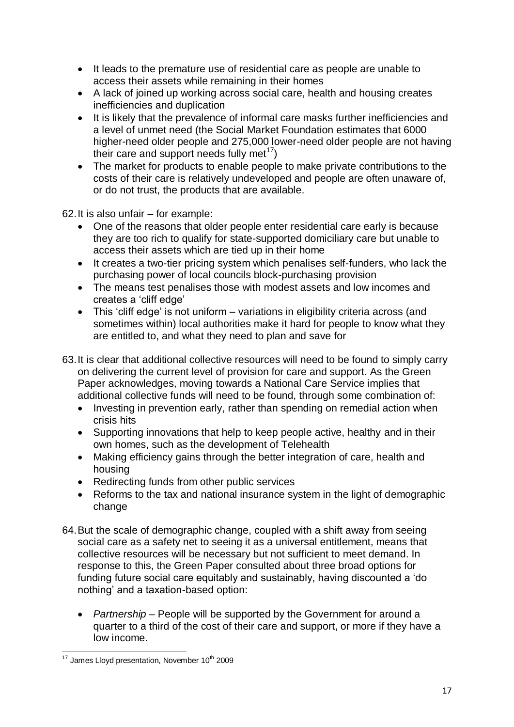- It leads to the premature use of residential care as people are unable to access their assets while remaining in their homes
- A lack of joined up working across social care, health and housing creates inefficiencies and duplication
- It is likely that the prevalence of informal care masks further inefficiencies and a level of unmet need (the Social Market Foundation estimates that 6000 higher-need older people and 275,000 lower-need older people are not having their care and support needs fully met<sup>17</sup>)
- The market for products to enable people to make private contributions to the costs of their care is relatively undeveloped and people are often unaware of, or do not trust, the products that are available.

62.It is also unfair – for example:

- One of the reasons that older people enter residential care early is because they are too rich to qualify for state-supported domiciliary care but unable to access their assets which are tied up in their home
- It creates a two-tier pricing system which penalises self-funders, who lack the purchasing power of local councils block-purchasing provision
- The means test penalises those with modest assets and low incomes and creates a 'cliff edge'
- This 'cliff edge' is not uniform variations in eligibility criteria across (and sometimes within) local authorities make it hard for people to know what they are entitled to, and what they need to plan and save for
- 63.It is clear that additional collective resources will need to be found to simply carry on delivering the current level of provision for care and support. As the Green Paper acknowledges, moving towards a National Care Service implies that additional collective funds will need to be found, through some combination of:
	- Investing in prevention early, rather than spending on remedial action when crisis hits
	- Supporting innovations that help to keep people active, healthy and in their own homes, such as the development of Telehealth
	- Making efficiency gains through the better integration of care, health and housing
	- Redirecting funds from other public services
	- Reforms to the tax and national insurance system in the light of demographic change
- 64.But the scale of demographic change, coupled with a shift away from seeing social care as a safety net to seeing it as a universal entitlement, means that collective resources will be necessary but not sufficient to meet demand. In response to this, the Green Paper consulted about three broad options for funding future social care equitably and sustainably, having discounted a 'do nothing' and a taxation-based option:
	- *Partnership* People will be supported by the Government for around a quarter to a third of the cost of their care and support, or more if they have a low income.

**<sup>.</sup>**  $17$  James Lloyd presentation, November  $10<sup>th</sup>$  2009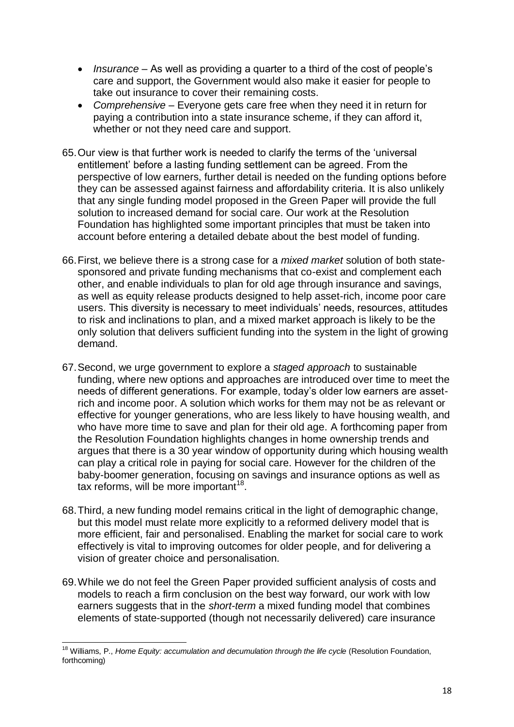- *Insurance* As well as providing a quarter to a third of the cost of people's care and support, the Government would also make it easier for people to take out insurance to cover their remaining costs.
- *Comprehensive* Everyone gets care free when they need it in return for paying a contribution into a state insurance scheme, if they can afford it, whether or not they need care and support.
- 65.Our view is that further work is needed to clarify the terms of the 'universal entitlement' before a lasting funding settlement can be agreed. From the perspective of low earners, further detail is needed on the funding options before they can be assessed against fairness and affordability criteria. It is also unlikely that any single funding model proposed in the Green Paper will provide the full solution to increased demand for social care. Our work at the Resolution Foundation has highlighted some important principles that must be taken into account before entering a detailed debate about the best model of funding.
- 66.First, we believe there is a strong case for a *mixed market* solution of both statesponsored and private funding mechanisms that co-exist and complement each other, and enable individuals to plan for old age through insurance and savings, as well as equity release products designed to help asset-rich, income poor care users. This diversity is necessary to meet individuals' needs, resources, attitudes to risk and inclinations to plan, and a mixed market approach is likely to be the only solution that delivers sufficient funding into the system in the light of growing demand.
- 67.Second, we urge government to explore a *staged approach* to sustainable funding, where new options and approaches are introduced over time to meet the needs of different generations. For example, today's older low earners are assetrich and income poor. A solution which works for them may not be as relevant or effective for younger generations, who are less likely to have housing wealth, and who have more time to save and plan for their old age. A forthcoming paper from the Resolution Foundation highlights changes in home ownership trends and argues that there is a 30 year window of opportunity during which housing wealth can play a critical role in paying for social care. However for the children of the baby-boomer generation, focusing on savings and insurance options as well as tax reforms, will be more important<sup>18</sup>.
- 68.Third, a new funding model remains critical in the light of demographic change, but this model must relate more explicitly to a reformed delivery model that is more efficient, fair and personalised. Enabling the market for social care to work effectively is vital to improving outcomes for older people, and for delivering a vision of greater choice and personalisation.
- 69.While we do not feel the Green Paper provided sufficient analysis of costs and models to reach a firm conclusion on the best way forward, our work with low earners suggests that in the *short-term* a mixed funding model that combines elements of state-supported (though not necessarily delivered) care insurance

 $\overline{a}$ <sup>18</sup> Williams, P., *Home Equity: accumulation and decumulation through the life cycle* (Resolution Foundation, forthcoming)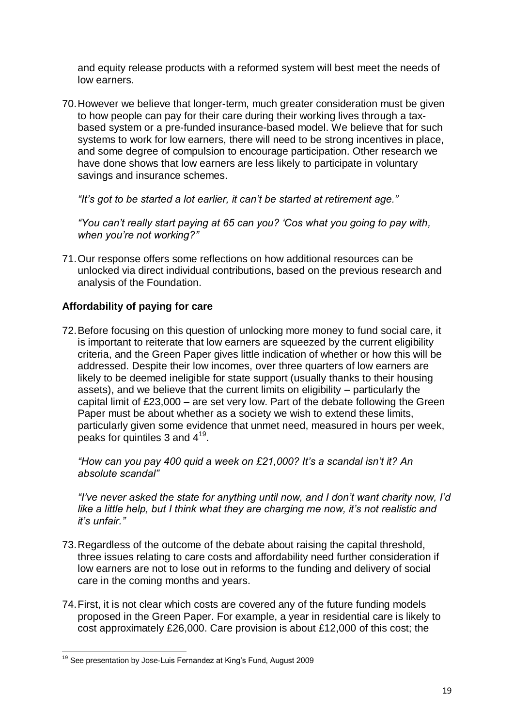and equity release products with a reformed system will best meet the needs of low earners.

70.However we believe that longer-term, much greater consideration must be given to how people can pay for their care during their working lives through a taxbased system or a pre-funded insurance-based model. We believe that for such systems to work for low earners, there will need to be strong incentives in place, and some degree of compulsion to encourage participation. Other research we have done shows that low earners are less likely to participate in voluntary savings and insurance schemes.

*"It"s got to be started a lot earlier, it can"t be started at retirement age."*

*"You can"t really start paying at 65 can you? "Cos what you going to pay with, when you"re not working?"*

71.Our response offers some reflections on how additional resources can be unlocked via direct individual contributions, based on the previous research and analysis of the Foundation.

# **Affordability of paying for care**

72.Before focusing on this question of unlocking more money to fund social care, it is important to reiterate that low earners are squeezed by the current eligibility criteria, and the Green Paper gives little indication of whether or how this will be addressed. Despite their low incomes, over three quarters of low earners are likely to be deemed ineligible for state support (usually thanks to their housing assets), and we believe that the current limits on eligibility – particularly the capital limit of £23,000 – are set very low. Part of the debate following the Green Paper must be about whether as a society we wish to extend these limits, particularly given some evidence that unmet need, measured in hours per week, peaks for quintiles 3 and  $4^{19}$ .

*"How can you pay 400 quid a week on £21,000? It"s a scandal isn"t it? An absolute scandal"*

*"I"ve never asked the state for anything until now, and I don"t want charity now, I"d*  like a little help, but I think what they are charging me now, it's not realistic and *it"s unfair."*

- 73.Regardless of the outcome of the debate about raising the capital threshold, three issues relating to care costs and affordability need further consideration if low earners are not to lose out in reforms to the funding and delivery of social care in the coming months and years.
- 74.First, it is not clear which costs are covered any of the future funding models proposed in the Green Paper. For example, a year in residential care is likely to cost approximately £26,000. Care provision is about £12,000 of this cost; the

**<sup>.</sup>** <sup>19</sup> See presentation by Jose-Luis Fernandez at King's Fund, August 2009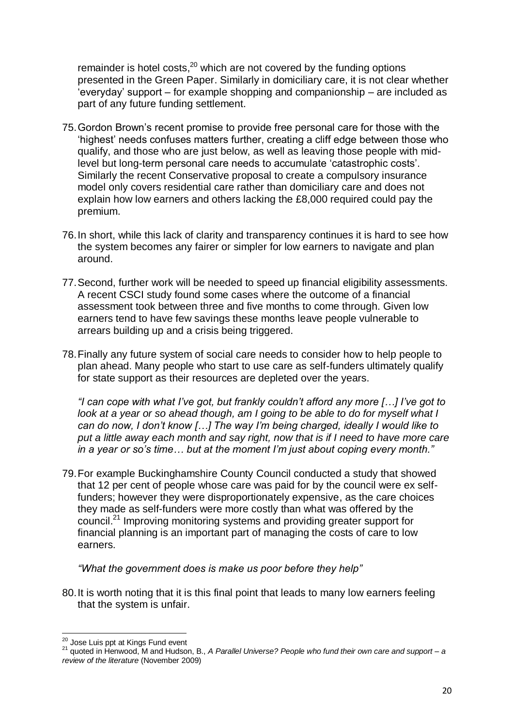remainder is hotel costs, $20$  which are not covered by the funding options presented in the Green Paper. Similarly in domiciliary care, it is not clear whether 'everyday' support – for example shopping and companionship – are included as part of any future funding settlement.

- 75.Gordon Brown's recent promise to provide free personal care for those with the 'highest' needs confuses matters further, creating a cliff edge between those who qualify, and those who are just below, as well as leaving those people with midlevel but long-term personal care needs to accumulate 'catastrophic costs'. Similarly the recent Conservative proposal to create a compulsory insurance model only covers residential care rather than domiciliary care and does not explain how low earners and others lacking the £8,000 required could pay the premium.
- 76.In short, while this lack of clarity and transparency continues it is hard to see how the system becomes any fairer or simpler for low earners to navigate and plan around.
- 77.Second, further work will be needed to speed up financial eligibility assessments. A recent CSCI study found some cases where the outcome of a financial assessment took between three and five months to come through. Given low earners tend to have few savings these months leave people vulnerable to arrears building up and a crisis being triggered.
- 78.Finally any future system of social care needs to consider how to help people to plan ahead. Many people who start to use care as self-funders ultimately qualify for state support as their resources are depleted over the years.

*"I can cope with what I"ve got, but frankly couldn"t afford any more […] I"ve got to look at a year or so ahead though, am I going to be able to do for myself what I can do now, I don"t know […] The way I"m being charged, ideally I would like to put a little away each month and say right, now that is if I need to have more care in a year or so"s time… but at the moment I"m just about coping every month."*

79.For example Buckinghamshire County Council conducted a study that showed that 12 per cent of people whose care was paid for by the council were ex selffunders; however they were disproportionately expensive, as the care choices they made as self-funders were more costly than what was offered by the council. <sup>21</sup> Improving monitoring systems and providing greater support for financial planning is an important part of managing the costs of care to low earners.

*"What the government does is make us poor before they help"*

80.It is worth noting that it is this final point that leads to many low earners feeling that the system is unfair.

 $\overline{\phantom{a}}$ <sup>20</sup> Jose Luis ppt at Kings Fund event

<sup>21</sup> quoted in Henwood, M and Hudson, B., *A Parallel Universe? People who fund their own care and support – a review of the literature* (November 2009)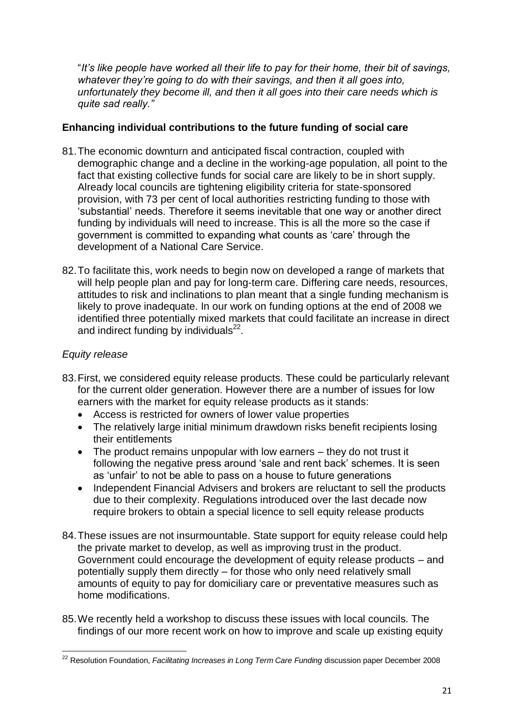"*It"s like people have worked all their life to pay for their home, their bit of savings, whatever they"re going to do with their savings, and then it all goes into, unfortunately they become ill, and then it all goes into their care needs which is quite sad really."*

### **Enhancing individual contributions to the future funding of social care**

- 81.The economic downturn and anticipated fiscal contraction, coupled with demographic change and a decline in the working-age population, all point to the fact that existing collective funds for social care are likely to be in short supply. Already local councils are tightening eligibility criteria for state-sponsored provision, with 73 per cent of local authorities restricting funding to those with 'substantial' needs. Therefore it seems inevitable that one way or another direct funding by individuals will need to increase. This is all the more so the case if government is committed to expanding what counts as 'care' through the development of a National Care Service.
- 82.To facilitate this, work needs to begin now on developed a range of markets that will help people plan and pay for long-term care. Differing care needs, resources, attitudes to risk and inclinations to plan meant that a single funding mechanism is likely to prove inadequate. In our work on funding options at the end of 2008 we identified three potentially mixed markets that could facilitate an increase in direct and indirect funding by individuals $^{22}$ .

#### *Equity release*

- 83.First, we considered equity release products. These could be particularly relevant for the current older generation. However there are a number of issues for low earners with the market for equity release products as it stands:
	- Access is restricted for owners of lower value properties
	- The relatively large initial minimum drawdown risks benefit recipients losing their entitlements
	- The product remains unpopular with low earners they do not trust it following the negative press around 'sale and rent back' schemes. It is seen as 'unfair' to not be able to pass on a house to future generations
	- Independent Financial Advisers and brokers are reluctant to sell the products due to their complexity. Regulations introduced over the last decade now require brokers to obtain a special licence to sell equity release products
- 84.These issues are not insurmountable. State support for equity release could help the private market to develop, as well as improving trust in the product. Government could encourage the development of equity release products – and potentially supply them directly – for those who only need relatively small amounts of equity to pay for domiciliary care or preventative measures such as home modifications.
- 85.We recently held a workshop to discuss these issues with local councils. The findings of our more recent work on how to improve and scale up existing equity

**<sup>.</sup>** <sup>22</sup> Resolution Foundation, *Facilitating Increases in Long Term Care Funding* discussion paper December 2008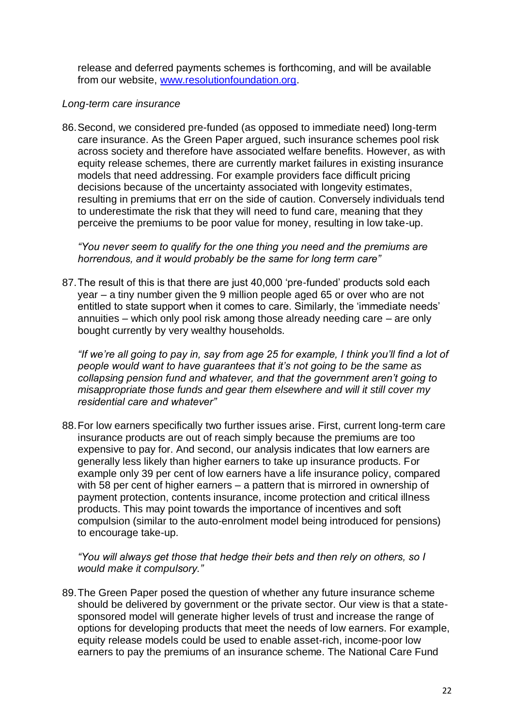release and deferred payments schemes is forthcoming, and will be available from our website, [www.resolutionfoundation.org.](http://www.resolutionfoundation.org/)

#### *Long-term care insurance*

86.Second, we considered pre-funded (as opposed to immediate need) long-term care insurance. As the Green Paper argued, such insurance schemes pool risk across society and therefore have associated welfare benefits. However, as with equity release schemes, there are currently market failures in existing insurance models that need addressing. For example providers face difficult pricing decisions because of the uncertainty associated with longevity estimates, resulting in premiums that err on the side of caution. Conversely individuals tend to underestimate the risk that they will need to fund care, meaning that they perceive the premiums to be poor value for money, resulting in low take-up.

*"You never seem to qualify for the one thing you need and the premiums are horrendous, and it would probably be the same for long term care"*

87.The result of this is that there are just 40,000 'pre-funded' products sold each year – a tiny number given the 9 million people aged 65 or over who are not entitled to state support when it comes to care. Similarly, the 'immediate needs' annuities – which only pool risk among those already needing care – are only bought currently by very wealthy households.

*"If we"re all going to pay in, say from age 25 for example, I think you"ll find a lot of people would want to have guarantees that it"s not going to be the same as collapsing pension fund and whatever, and that the government aren"t going to misappropriate those funds and gear them elsewhere and will it still cover my residential care and whatever"*

88.For low earners specifically two further issues arise. First, current long-term care insurance products are out of reach simply because the premiums are too expensive to pay for. And second, our analysis indicates that low earners are generally less likely than higher earners to take up insurance products. For example only 39 per cent of low earners have a life insurance policy, compared with 58 per cent of higher earners – a pattern that is mirrored in ownership of payment protection, contents insurance, income protection and critical illness products. This may point towards the importance of incentives and soft compulsion (similar to the auto-enrolment model being introduced for pensions) to encourage take-up.

*"You will always get those that hedge their bets and then rely on others, so I would make it compulsory."*

89.The Green Paper posed the question of whether any future insurance scheme should be delivered by government or the private sector. Our view is that a statesponsored model will generate higher levels of trust and increase the range of options for developing products that meet the needs of low earners. For example, equity release models could be used to enable asset-rich, income-poor low earners to pay the premiums of an insurance scheme. The National Care Fund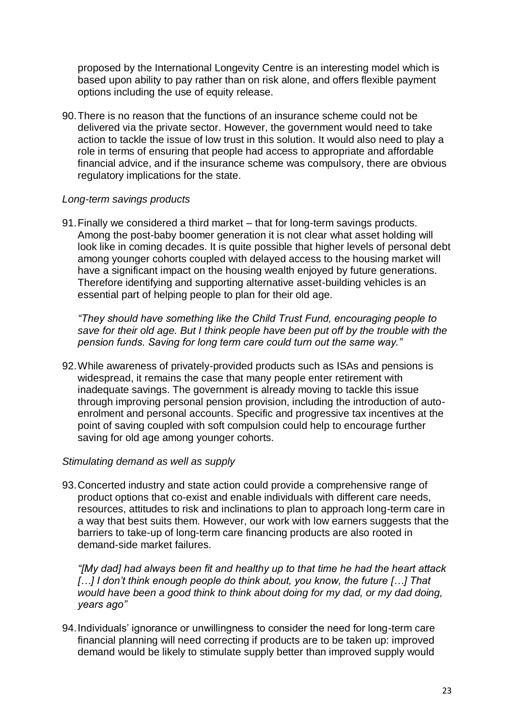proposed by the International Longevity Centre is an interesting model which is based upon ability to pay rather than on risk alone, and offers flexible payment options including the use of equity release.

90.There is no reason that the functions of an insurance scheme could not be delivered via the private sector. However, the government would need to take action to tackle the issue of low trust in this solution. It would also need to play a role in terms of ensuring that people had access to appropriate and affordable financial advice, and if the insurance scheme was compulsory, there are obvious regulatory implications for the state.

#### *Long-term savings products*

91.Finally we considered a third market – that for long-term savings products. Among the post-baby boomer generation it is not clear what asset holding will look like in coming decades. It is quite possible that higher levels of personal debt among younger cohorts coupled with delayed access to the housing market will have a significant impact on the housing wealth enjoyed by future generations. Therefore identifying and supporting alternative asset-building vehicles is an essential part of helping people to plan for their old age.

*"They should have something like the Child Trust Fund, encouraging people to save for their old age. But I think people have been put off by the trouble with the pension funds. Saving for long term care could turn out the same way."*

92.While awareness of privately-provided products such as ISAs and pensions is widespread, it remains the case that many people enter retirement with inadequate savings. The government is already moving to tackle this issue through improving personal pension provision, including the introduction of autoenrolment and personal accounts. Specific and progressive tax incentives at the point of saving coupled with soft compulsion could help to encourage further saving for old age among younger cohorts.

#### *Stimulating demand as well as supply*

93.Concerted industry and state action could provide a comprehensive range of product options that co-exist and enable individuals with different care needs, resources, attitudes to risk and inclinations to plan to approach long-term care in a way that best suits them. However, our work with low earners suggests that the barriers to take-up of long-term care financing products are also rooted in demand-side market failures.

*"[My dad] had always been fit and healthy up to that time he had the heart attack […] I don"t think enough people do think about, you know, the future […] That would have been a good think to think about doing for my dad, or my dad doing, years ago"*

94.Individuals' ignorance or unwillingness to consider the need for long-term care financial planning will need correcting if products are to be taken up: improved demand would be likely to stimulate supply better than improved supply would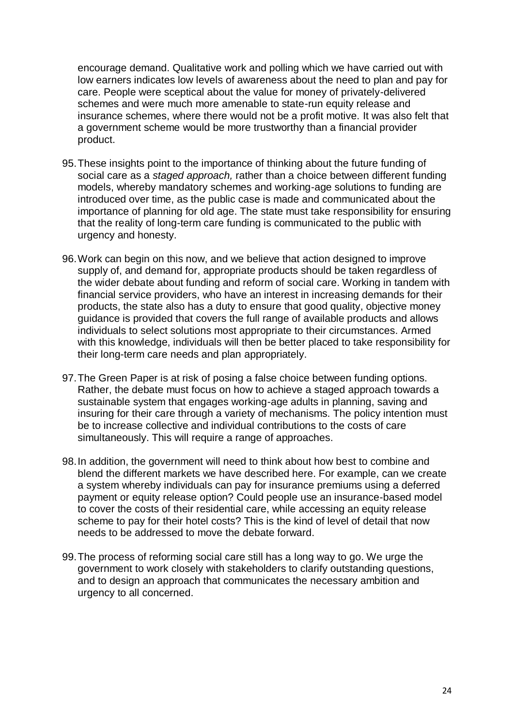encourage demand. Qualitative work and polling which we have carried out with low earners indicates low levels of awareness about the need to plan and pay for care. People were sceptical about the value for money of privately-delivered schemes and were much more amenable to state-run equity release and insurance schemes, where there would not be a profit motive. It was also felt that a government scheme would be more trustworthy than a financial provider product.

- 95.These insights point to the importance of thinking about the future funding of social care as a *staged approach,* rather than a choice between different funding models, whereby mandatory schemes and working-age solutions to funding are introduced over time, as the public case is made and communicated about the importance of planning for old age. The state must take responsibility for ensuring that the reality of long-term care funding is communicated to the public with urgency and honesty.
- 96.Work can begin on this now, and we believe that action designed to improve supply of, and demand for, appropriate products should be taken regardless of the wider debate about funding and reform of social care. Working in tandem with financial service providers, who have an interest in increasing demands for their products, the state also has a duty to ensure that good quality, objective money guidance is provided that covers the full range of available products and allows individuals to select solutions most appropriate to their circumstances. Armed with this knowledge, individuals will then be better placed to take responsibility for their long-term care needs and plan appropriately.
- 97.The Green Paper is at risk of posing a false choice between funding options. Rather, the debate must focus on how to achieve a staged approach towards a sustainable system that engages working-age adults in planning, saving and insuring for their care through a variety of mechanisms. The policy intention must be to increase collective and individual contributions to the costs of care simultaneously. This will require a range of approaches.
- 98.In addition, the government will need to think about how best to combine and blend the different markets we have described here. For example, can we create a system whereby individuals can pay for insurance premiums using a deferred payment or equity release option? Could people use an insurance-based model to cover the costs of their residential care, while accessing an equity release scheme to pay for their hotel costs? This is the kind of level of detail that now needs to be addressed to move the debate forward.
- 99.The process of reforming social care still has a long way to go. We urge the government to work closely with stakeholders to clarify outstanding questions, and to design an approach that communicates the necessary ambition and urgency to all concerned.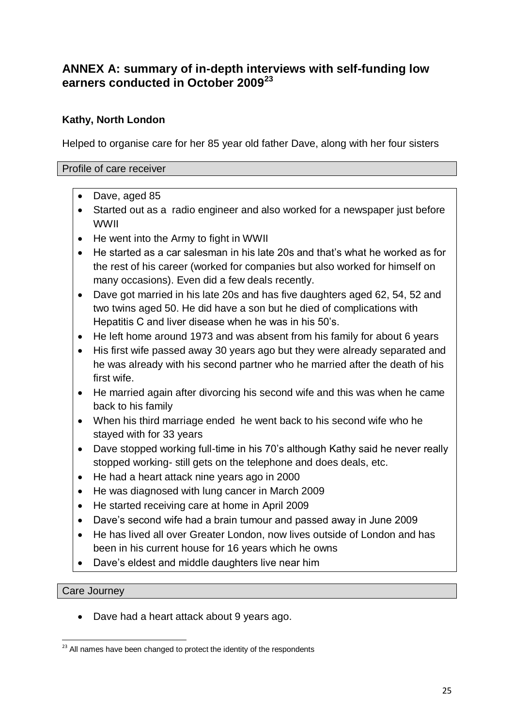# **ANNEX A: summary of in-depth interviews with self-funding low earners conducted in October 2009<sup>23</sup>**

# **Kathy, North London**

Helped to organise care for her 85 year old father Dave, along with her four sisters

#### Profile of care receiver

- Dave, aged 85
- Started out as a radio engineer and also worked for a newspaper just before WWII
- He went into the Army to fight in WWII
- He started as a car salesman in his late 20s and that's what he worked as for the rest of his career (worked for companies but also worked for himself on many occasions). Even did a few deals recently.
- Dave got married in his late 20s and has five daughters aged 62, 54, 52 and two twins aged 50. He did have a son but he died of complications with Hepatitis C and liver disease when he was in his 50's.
- He left home around 1973 and was absent from his family for about 6 years
- His first wife passed away 30 years ago but they were already separated and he was already with his second partner who he married after the death of his first wife.
- He married again after divorcing his second wife and this was when he came back to his family
- When his third marriage ended he went back to his second wife who he stayed with for 33 years
- Dave stopped working full-time in his 70's although Kathy said he never really stopped working- still gets on the telephone and does deals, etc.
- He had a heart attack nine years ago in 2000
- He was diagnosed with lung cancer in March 2009
- He started receiving care at home in April 2009
- Dave's second wife had a brain tumour and passed away in June 2009
- He has lived all over Greater London, now lives outside of London and has been in his current house for 16 years which he owns
- Dave's eldest and middle daughters live near him

#### Care Journey

• Dave had a heart attack about 9 years ago.

<sup>1</sup>  $23$  All names have been changed to protect the identity of the respondents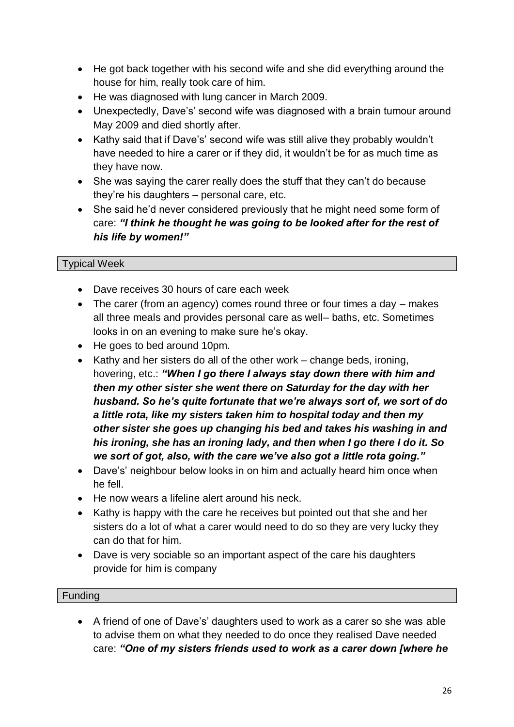- He got back together with his second wife and she did everything around the house for him, really took care of him.
- He was diagnosed with lung cancer in March 2009.
- Unexpectedly, Dave's' second wife was diagnosed with a brain tumour around May 2009 and died shortly after.
- Kathy said that if Dave's' second wife was still alive they probably wouldn't have needed to hire a carer or if they did, it wouldn't be for as much time as they have now.
- She was saying the carer really does the stuff that they can't do because they're his daughters – personal care, etc.
- She said he'd never considered previously that he might need some form of care: *"I think he thought he was going to be looked after for the rest of his life by women!"*

# Typical Week

- Dave receives 30 hours of care each week
- The carer (from an agency) comes round three or four times a day makes all three meals and provides personal care as well– baths, etc. Sometimes looks in on an evening to make sure he's okay.
- He goes to bed around 10pm.
- $\bullet$  Kathy and her sisters do all of the other work change beds, ironing, hovering, etc.: *"When I go there I always stay down there with him and then my other sister she went there on Saturday for the day with her husband. So he"s quite fortunate that we"re always sort of, we sort of do a little rota, like my sisters taken him to hospital today and then my other sister she goes up changing his bed and takes his washing in and his ironing, she has an ironing lady, and then when I go there I do it. So we sort of got, also, with the care we"ve also got a little rota going."*
- Dave's' neighbour below looks in on him and actually heard him once when he fell.
- He now wears a lifeline alert around his neck.
- Kathy is happy with the care he receives but pointed out that she and her sisters do a lot of what a carer would need to do so they are very lucky they can do that for him.
- Dave is very sociable so an important aspect of the care his daughters provide for him is company

#### Funding

 A friend of one of Dave's' daughters used to work as a carer so she was able to advise them on what they needed to do once they realised Dave needed care: *"One of my sisters friends used to work as a carer down [where he*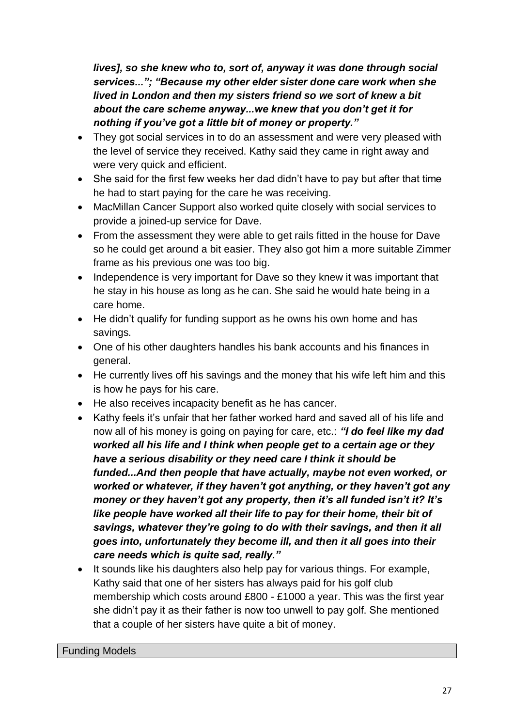*lives], so she knew who to, sort of, anyway it was done through social services..."; "Because my other elder sister done care work when she lived in London and then my sisters friend so we sort of knew a bit about the care scheme anyway...we knew that you don"t get it for nothing if you"ve got a little bit of money or property."*

- They got social services in to do an assessment and were very pleased with the level of service they received. Kathy said they came in right away and were very quick and efficient.
- She said for the first few weeks her dad didn't have to pay but after that time he had to start paying for the care he was receiving.
- MacMillan Cancer Support also worked quite closely with social services to provide a joined-up service for Dave.
- From the assessment they were able to get rails fitted in the house for Dave so he could get around a bit easier. They also got him a more suitable Zimmer frame as his previous one was too big.
- Independence is very important for Dave so they knew it was important that he stay in his house as long as he can. She said he would hate being in a care home.
- He didn't qualify for funding support as he owns his own home and has savings.
- One of his other daughters handles his bank accounts and his finances in general.
- He currently lives off his savings and the money that his wife left him and this is how he pays for his care.
- He also receives incapacity benefit as he has cancer.
- Kathy feels it's unfair that her father worked hard and saved all of his life and now all of his money is going on paying for care, etc.: *"I do feel like my dad worked all his life and I think when people get to a certain age or they have a serious disability or they need care I think it should be funded...And then people that have actually, maybe not even worked, or worked or whatever, if they haven"t got anything, or they haven"t got any money or they haven"t got any property, then it"s all funded isn"t it? It"s like people have worked all their life to pay for their home, their bit of savings, whatever they"re going to do with their savings, and then it all goes into, unfortunately they become ill, and then it all goes into their care needs which is quite sad, really."*
- It sounds like his daughters also help pay for various things. For example, Kathy said that one of her sisters has always paid for his golf club membership which costs around £800 - £1000 a year. This was the first year she didn't pay it as their father is now too unwell to pay golf. She mentioned that a couple of her sisters have quite a bit of money.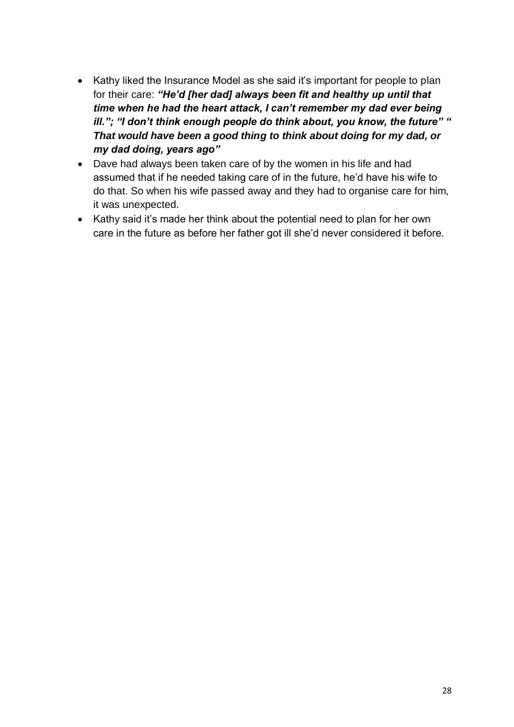- Kathy liked the Insurance Model as she said it's important for people to plan for their care: *"He"d [her dad] always been fit and healthy up until that time when he had the heart attack, I can"t remember my dad ever being ill."; "I don"t think enough people do think about, you know, the future" " That would have been a good thing to think about doing for my dad, or my dad doing, years ago"*
- Dave had always been taken care of by the women in his life and had assumed that if he needed taking care of in the future, he'd have his wife to do that. So when his wife passed away and they had to organise care for him, it was unexpected.
- Kathy said it's made her think about the potential need to plan for her own care in the future as before her father got ill she'd never considered it before.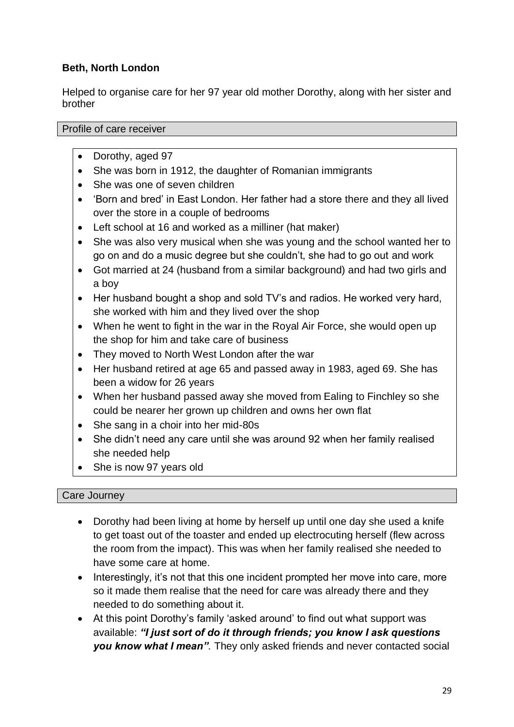# **Beth, North London**

Helped to organise care for her 97 year old mother Dorothy, along with her sister and brother

Profile of care receiver

- Dorothy, aged 97
- She was born in 1912, the daughter of Romanian immigrants
- She was one of seven children
- 'Born and bred' in East London. Her father had a store there and they all lived over the store in a couple of bedrooms
- Left school at 16 and worked as a milliner (hat maker)
- She was also very musical when she was young and the school wanted her to go on and do a music degree but she couldn't, she had to go out and work
- Got married at 24 (husband from a similar background) and had two girls and a boy
- Her husband bought a shop and sold TV's and radios. He worked very hard, she worked with him and they lived over the shop
- When he went to fight in the war in the Royal Air Force, she would open up the shop for him and take care of business
- They moved to North West London after the war
- Her husband retired at age 65 and passed away in 1983, aged 69. She has been a widow for 26 years
- When her husband passed away she moved from Ealing to Finchley so she could be nearer her grown up children and owns her own flat
- She sang in a choir into her mid-80s
- She didn't need any care until she was around 92 when her family realised she needed help
- She is now 97 years old

# Care Journey

- Dorothy had been living at home by herself up until one day she used a knife to get toast out of the toaster and ended up electrocuting herself (flew across the room from the impact). This was when her family realised she needed to have some care at home.
- Interestingly, it's not that this one incident prompted her move into care, more so it made them realise that the need for care was already there and they needed to do something about it.
- At this point Dorothy's family 'asked around' to find out what support was available: *"I just sort of do it through friends; you know I ask questions you know what I mean".* They only asked friends and never contacted social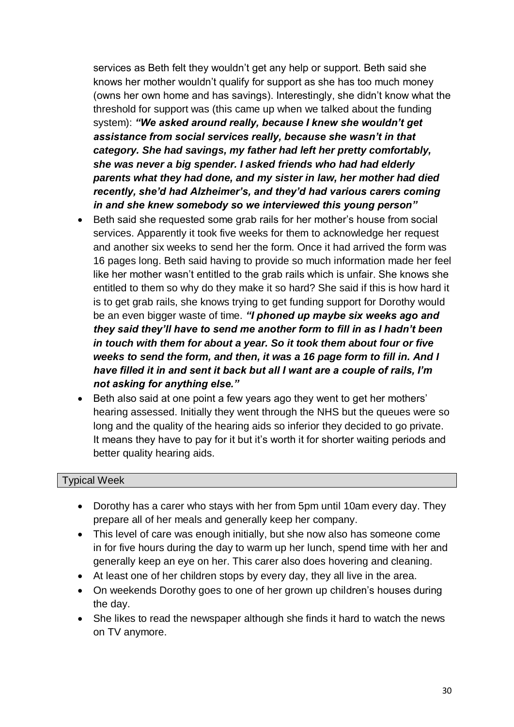services as Beth felt they wouldn't get any help or support. Beth said she knows her mother wouldn't qualify for support as she has too much money (owns her own home and has savings). Interestingly, she didn't know what the threshold for support was (this came up when we talked about the funding system): *"We asked around really, because I knew she wouldn"t get assistance from social services really, because she wasn"t in that category. She had savings, my father had left her pretty comfortably, she was never a big spender. I asked friends who had had elderly parents what they had done, and my sister in law, her mother had died recently, she"d had Alzheimer"s, and they"d had various carers coming in and she knew somebody so we interviewed this young person"*

- Beth said she requested some grab rails for her mother's house from social services. Apparently it took five weeks for them to acknowledge her request and another six weeks to send her the form. Once it had arrived the form was 16 pages long. Beth said having to provide so much information made her feel like her mother wasn't entitled to the grab rails which is unfair. She knows she entitled to them so why do they make it so hard? She said if this is how hard it is to get grab rails, she knows trying to get funding support for Dorothy would be an even bigger waste of time. *"I phoned up maybe six weeks ago and they said they"ll have to send me another form to fill in as I hadn"t been in touch with them for about a year. So it took them about four or five weeks to send the form, and then, it was a 16 page form to fill in. And I have filled it in and sent it back but all I want are a couple of rails, I"m not asking for anything else."*
- Beth also said at one point a few years ago they went to get her mothers' hearing assessed. Initially they went through the NHS but the queues were so long and the quality of the hearing aids so inferior they decided to go private. It means they have to pay for it but it's worth it for shorter waiting periods and better quality hearing aids.

# Typical Week

- Dorothy has a carer who stays with her from 5pm until 10am every day. They prepare all of her meals and generally keep her company.
- This level of care was enough initially, but she now also has someone come in for five hours during the day to warm up her lunch, spend time with her and generally keep an eye on her. This carer also does hovering and cleaning.
- At least one of her children stops by every day, they all live in the area.
- On weekends Dorothy goes to one of her grown up children's houses during the day.
- She likes to read the newspaper although she finds it hard to watch the news on TV anymore.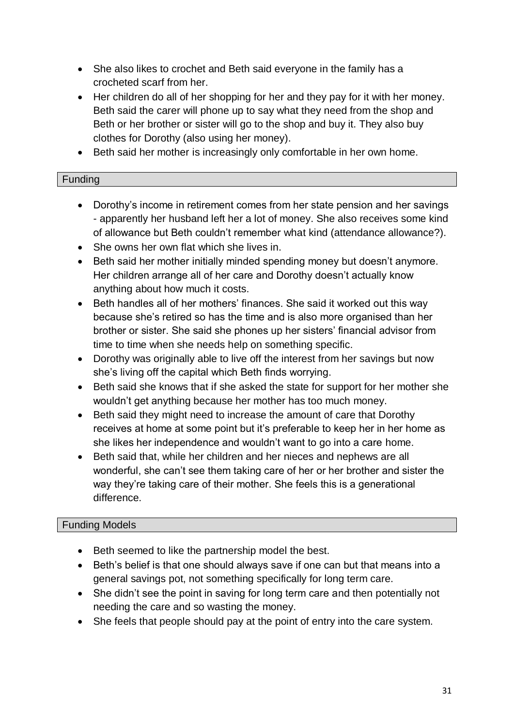- She also likes to crochet and Beth said everyone in the family has a crocheted scarf from her.
- Her children do all of her shopping for her and they pay for it with her money. Beth said the carer will phone up to say what they need from the shop and Beth or her brother or sister will go to the shop and buy it. They also buy clothes for Dorothy (also using her money).
- Beth said her mother is increasingly only comfortable in her own home.

#### Funding

- Dorothy's income in retirement comes from her state pension and her savings - apparently her husband left her a lot of money. She also receives some kind of allowance but Beth couldn't remember what kind (attendance allowance?).
- She owns her own flat which she lives in.
- Beth said her mother initially minded spending money but doesn't anymore. Her children arrange all of her care and Dorothy doesn't actually know anything about how much it costs.
- Beth handles all of her mothers' finances. She said it worked out this way because she's retired so has the time and is also more organised than her brother or sister. She said she phones up her sisters' financial advisor from time to time when she needs help on something specific.
- Dorothy was originally able to live off the interest from her savings but now she's living off the capital which Beth finds worrying.
- Beth said she knows that if she asked the state for support for her mother she wouldn't get anything because her mother has too much money.
- Beth said they might need to increase the amount of care that Dorothy receives at home at some point but it's preferable to keep her in her home as she likes her independence and wouldn't want to go into a care home.
- Beth said that, while her children and her nieces and nephews are all wonderful, she can't see them taking care of her or her brother and sister the way they're taking care of their mother. She feels this is a generational difference.

# Funding Models

- Beth seemed to like the partnership model the best.
- Beth's belief is that one should always save if one can but that means into a general savings pot, not something specifically for long term care.
- She didn't see the point in saving for long term care and then potentially not needing the care and so wasting the money.
- She feels that people should pay at the point of entry into the care system.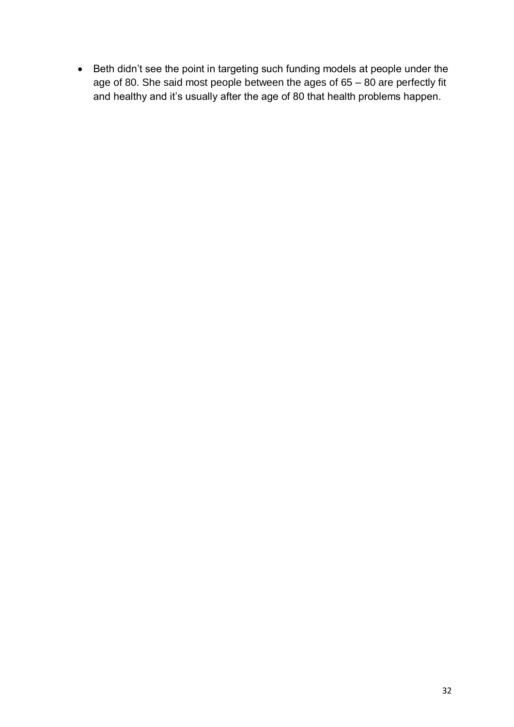Beth didn't see the point in targeting such funding models at people under the age of 80. She said most people between the ages of 65 – 80 are perfectly fit and healthy and it's usually after the age of 80 that health problems happen.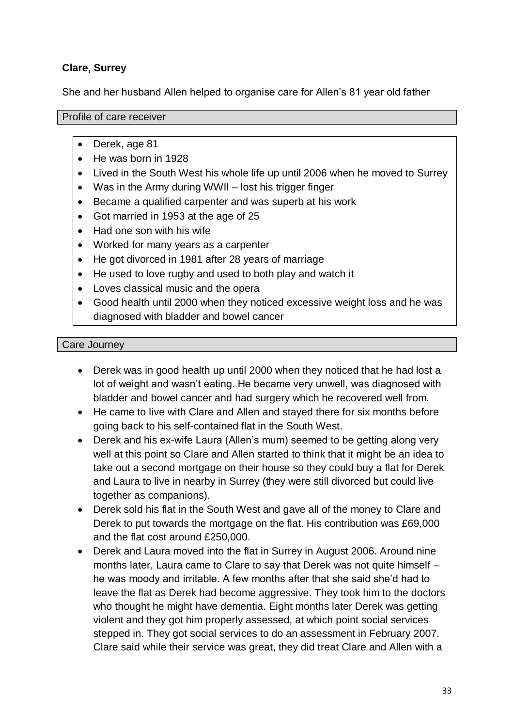# **Clare, Surrey**

She and her husband Allen helped to organise care for Allen's 81 year old father

#### Profile of care receiver

- Derek, age 81
- He was born in 1928
- Lived in the South West his whole life up until 2006 when he moved to Surrey
- Was in the Army during WWII lost his trigger finger
- Became a qualified carpenter and was superb at his work
- Got married in 1953 at the age of 25
- Had one son with his wife
- Worked for many years as a carpenter
- He got divorced in 1981 after 28 years of marriage
- He used to love rugby and used to both play and watch it
- Loves classical music and the opera
- Good health until 2000 when they noticed excessive weight loss and he was diagnosed with bladder and bowel cancer

#### Care Journey

- Derek was in good health up until 2000 when they noticed that he had lost a lot of weight and wasn't eating. He became very unwell, was diagnosed with bladder and bowel cancer and had surgery which he recovered well from.
- He came to live with Clare and Allen and stayed there for six months before going back to his self-contained flat in the South West.
- Derek and his ex-wife Laura (Allen's mum) seemed to be getting along very well at this point so Clare and Allen started to think that it might be an idea to take out a second mortgage on their house so they could buy a flat for Derek and Laura to live in nearby in Surrey (they were still divorced but could live together as companions).
- Derek sold his flat in the South West and gave all of the money to Clare and Derek to put towards the mortgage on the flat. His contribution was £69,000 and the flat cost around £250,000.
- Derek and Laura moved into the flat in Surrey in August 2006. Around nine months later, Laura came to Clare to say that Derek was not quite himself – he was moody and irritable. A few months after that she said she'd had to leave the flat as Derek had become aggressive. They took him to the doctors who thought he might have dementia. Eight months later Derek was getting violent and they got him properly assessed, at which point social services stepped in. They got social services to do an assessment in February 2007. Clare said while their service was great, they did treat Clare and Allen with a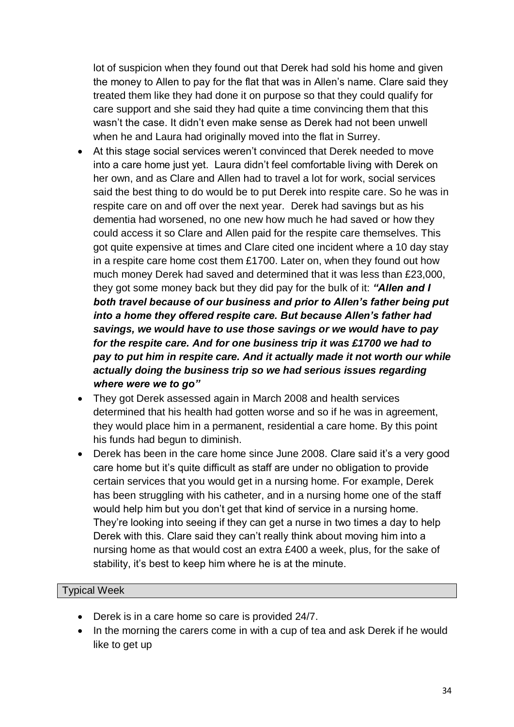lot of suspicion when they found out that Derek had sold his home and given the money to Allen to pay for the flat that was in Allen's name. Clare said they treated them like they had done it on purpose so that they could qualify for care support and she said they had quite a time convincing them that this wasn't the case. It didn't even make sense as Derek had not been unwell when he and Laura had originally moved into the flat in Surrey.

- At this stage social services weren't convinced that Derek needed to move into a care home just yet. Laura didn't feel comfortable living with Derek on her own, and as Clare and Allen had to travel a lot for work, social services said the best thing to do would be to put Derek into respite care. So he was in respite care on and off over the next year*.* Derek had savings but as his dementia had worsened, no one new how much he had saved or how they could access it so Clare and Allen paid for the respite care themselves. This got quite expensive at times and Clare cited one incident where a 10 day stay in a respite care home cost them £1700. Later on, when they found out how much money Derek had saved and determined that it was less than £23,000, they got some money back but they did pay for the bulk of it: *"Allen and I both travel because of our business and prior to Allen"s father being put into a home they offered respite care. But because Allen"s father had savings, we would have to use those savings or we would have to pay for the respite care. And for one business trip it was £1700 we had to pay to put him in respite care. And it actually made it not worth our while actually doing the business trip so we had serious issues regarding where were we to go"*
- They got Derek assessed again in March 2008 and health services determined that his health had gotten worse and so if he was in agreement, they would place him in a permanent, residential a care home. By this point his funds had begun to diminish.
- Derek has been in the care home since June 2008. Clare said it's a very good care home but it's quite difficult as staff are under no obligation to provide certain services that you would get in a nursing home. For example, Derek has been struggling with his catheter, and in a nursing home one of the staff would help him but you don't get that kind of service in a nursing home. They're looking into seeing if they can get a nurse in two times a day to help Derek with this. Clare said they can't really think about moving him into a nursing home as that would cost an extra £400 a week, plus, for the sake of stability, it's best to keep him where he is at the minute.

# Typical Week

- Derek is in a care home so care is provided 24/7.
- In the morning the carers come in with a cup of tea and ask Derek if he would like to get up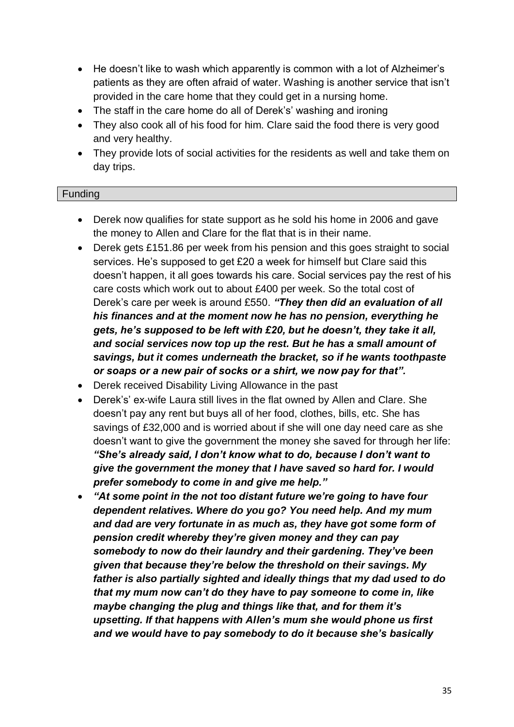- He doesn't like to wash which apparently is common with a lot of Alzheimer's patients as they are often afraid of water. Washing is another service that isn't provided in the care home that they could get in a nursing home.
- The staff in the care home do all of Derek's' washing and ironing
- They also cook all of his food for him. Clare said the food there is very good and very healthy.
- They provide lots of social activities for the residents as well and take them on day trips.

# **Funding**

- Derek now qualifies for state support as he sold his home in 2006 and gave the money to Allen and Clare for the flat that is in their name.
- Derek gets £151.86 per week from his pension and this goes straight to social services. He's supposed to get £20 a week for himself but Clare said this doesn't happen, it all goes towards his care. Social services pay the rest of his care costs which work out to about £400 per week. So the total cost of Derek's care per week is around £550. *"They then did an evaluation of all his finances and at the moment now he has no pension, everything he gets, he"s supposed to be left with £20, but he doesn"t, they take it all, and social services now top up the rest. But he has a small amount of savings, but it comes underneath the bracket, so if he wants toothpaste or soaps or a new pair of socks or a shirt, we now pay for that".*
- Derek received Disability Living Allowance in the past
- Derek's' ex-wife Laura still lives in the flat owned by Allen and Clare. She doesn't pay any rent but buys all of her food, clothes, bills, etc. She has savings of £32,000 and is worried about if she will one day need care as she doesn't want to give the government the money she saved for through her life: *"She"s already said, I don"t know what to do, because I don"t want to give the government the money that I have saved so hard for. I would prefer somebody to come in and give me help."*
- *"At some point in the not too distant future we"re going to have four dependent relatives. Where do you go? You need help. And my mum and dad are very fortunate in as much as, they have got some form of pension credit whereby they"re given money and they can pay somebody to now do their laundry and their gardening. They"ve been given that because they"re below the threshold on their savings. My father is also partially sighted and ideally things that my dad used to do that my mum now can"t do they have to pay someone to come in, like maybe changing the plug and things like that, and for them it"s upsetting. If that happens with Allen"s mum she would phone us first and we would have to pay somebody to do it because she"s basically*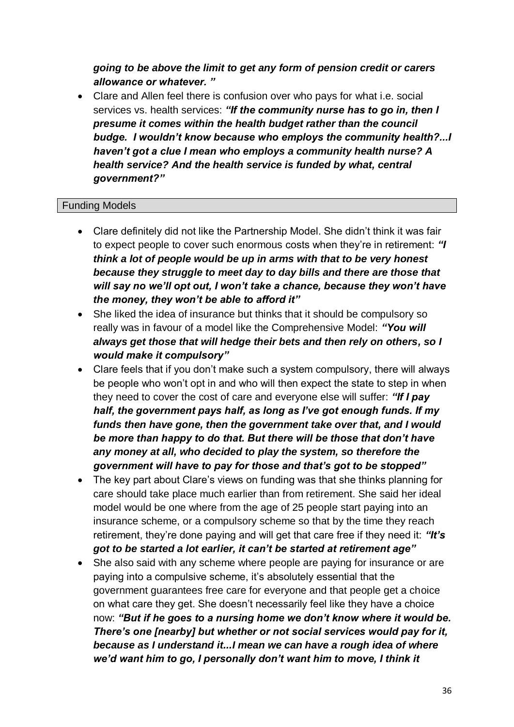*going to be above the limit to get any form of pension credit or carers allowance or whatever. "*

 Clare and Allen feel there is confusion over who pays for what i.e. social services vs. health services: *"If the community nurse has to go in, then I presume it comes within the health budget rather than the council budge. I wouldn"t know because who employs the community health?...I haven"t got a clue I mean who employs a community health nurse? A health service? And the health service is funded by what, central government?"*

#### Funding Models

- Clare definitely did not like the Partnership Model. She didn't think it was fair to expect people to cover such enormous costs when they're in retirement: *"I think a lot of people would be up in arms with that to be very honest because they struggle to meet day to day bills and there are those that will say no we"ll opt out, I won"t take a chance, because they won"t have the money, they won"t be able to afford it"*
- She liked the idea of insurance but thinks that it should be compulsory so really was in favour of a model like the Comprehensive Model: *"You will always get those that will hedge their bets and then rely on others, so I would make it compulsory"*
- Clare feels that if you don't make such a system compulsory, there will always be people who won't opt in and who will then expect the state to step in when they need to cover the cost of care and everyone else will suffer: *"If I pay half, the government pays half, as long as I"ve got enough funds. If my funds then have gone, then the government take over that, and I would be more than happy to do that. But there will be those that don"t have any money at all, who decided to play the system, so therefore the government will have to pay for those and that"s got to be stopped"*
- The key part about Clare's views on funding was that she thinks planning for care should take place much earlier than from retirement. She said her ideal model would be one where from the age of 25 people start paying into an insurance scheme, or a compulsory scheme so that by the time they reach retirement, they're done paying and will get that care free if they need it: *"It"s got to be started a lot earlier, it can"t be started at retirement age"*
- She also said with any scheme where people are paying for insurance or are paying into a compulsive scheme, it's absolutely essential that the government guarantees free care for everyone and that people get a choice on what care they get. She doesn't necessarily feel like they have a choice now: *"But if he goes to a nursing home we don"t know where it would be. There"s one [nearby] but whether or not social services would pay for it, because as I understand it...I mean we can have a rough idea of where we"d want him to go, I personally don"t want him to move, I think it*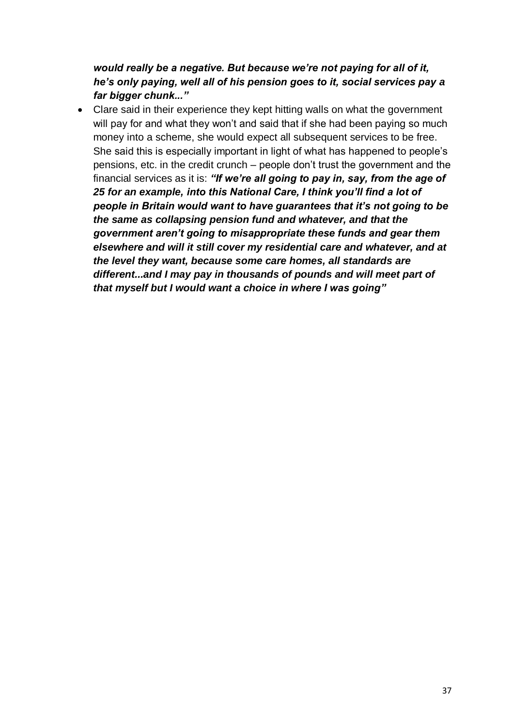*would really be a negative. But because we"re not paying for all of it, he"s only paying, well all of his pension goes to it, social services pay a far bigger chunk..."*

 Clare said in their experience they kept hitting walls on what the government will pay for and what they won't and said that if she had been paying so much money into a scheme, she would expect all subsequent services to be free. She said this is especially important in light of what has happened to people's pensions, etc. in the credit crunch – people don't trust the government and the financial services as it is: *"If we"re all going to pay in, say, from the age of 25 for an example, into this National Care, I think you"ll find a lot of people in Britain would want to have guarantees that it"s not going to be the same as collapsing pension fund and whatever, and that the government aren"t going to misappropriate these funds and gear them elsewhere and will it still cover my residential care and whatever, and at the level they want, because some care homes, all standards are different...and I may pay in thousands of pounds and will meet part of that myself but I would want a choice in where I was going"*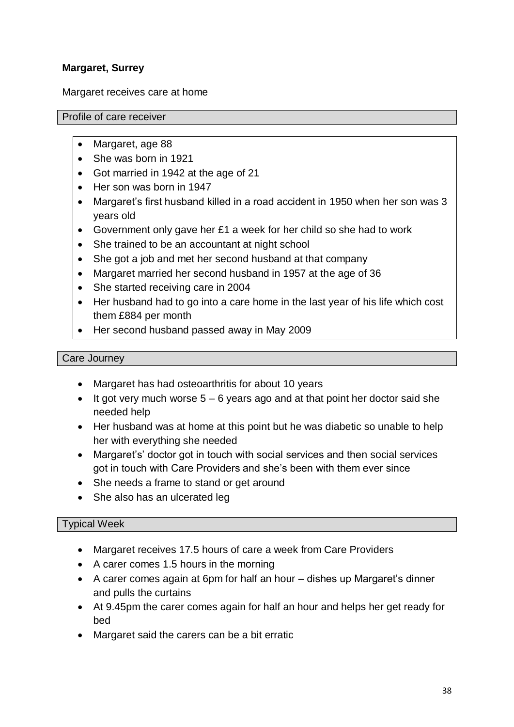# **Margaret, Surrey**

Margaret receives care at home

#### Profile of care receiver

- Margaret, age 88
- She was born in 1921
- Got married in 1942 at the age of 21
- Her son was born in 1947
- Margaret's first husband killed in a road accident in 1950 when her son was 3 years old
- Government only gave her £1 a week for her child so she had to work
- She trained to be an accountant at night school
- She got a job and met her second husband at that company
- Margaret married her second husband in 1957 at the age of 36
- She started receiving care in 2004
- Her husband had to go into a care home in the last year of his life which cost them £884 per month
- Her second husband passed away in May 2009

#### Care Journey

- Margaret has had osteoarthritis for about 10 years
- It got very much worse  $5 6$  years ago and at that point her doctor said she needed help
- Her husband was at home at this point but he was diabetic so unable to help her with everything she needed
- Margaret's' doctor got in touch with social services and then social services got in touch with Care Providers and she's been with them ever since
- She needs a frame to stand or get around
- She also has an ulcerated leg

#### Typical Week

- Margaret receives 17.5 hours of care a week from Care Providers
- A carer comes 1.5 hours in the morning
- A carer comes again at 6pm for half an hour dishes up Margaret's dinner and pulls the curtains
- At 9.45pm the carer comes again for half an hour and helps her get ready for bed
- Margaret said the carers can be a bit erratic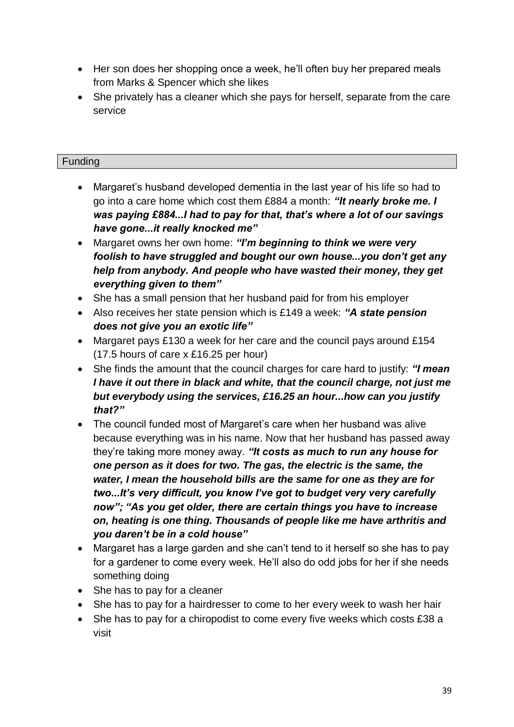- Her son does her shopping once a week, he'll often buy her prepared meals from Marks & Spencer which she likes
- She privately has a cleaner which she pays for herself, separate from the care service

# Funding

- Margaret's husband developed dementia in the last year of his life so had to go into a care home which cost them £884 a month: *"It nearly broke me. I was paying £884...I had to pay for that, that"s where a lot of our savings have gone...it really knocked me"*
- Margaret owns her own home: *"I"m beginning to think we were very foolish to have struggled and bought our own house...you don"t get any help from anybody. And people who have wasted their money, they get everything given to them"*
- She has a small pension that her husband paid for from his employer
- Also receives her state pension which is £149 a week: *"A state pension does not give you an exotic life"*
- Margaret pays £130 a week for her care and the council pays around £154 (17.5 hours of care x £16.25 per hour)
- She finds the amount that the council charges for care hard to justify: *"I mean I have it out there in black and white, that the council charge, not just me but everybody using the services, £16.25 an hour...how can you justify that?"*
- The council funded most of Margaret's care when her husband was alive because everything was in his name. Now that her husband has passed away they're taking more money away. *"It costs as much to run any house for one person as it does for two. The gas, the electric is the same, the water, I mean the household bills are the same for one as they are for two...It"s very difficult, you know I"ve got to budget very very carefully now"; "As you get older, there are certain things you have to increase on, heating is one thing. Thousands of people like me have arthritis and you daren"t be in a cold house"*
- Margaret has a large garden and she can't tend to it herself so she has to pay for a gardener to come every week. He'll also do odd jobs for her if she needs something doing
- She has to pay for a cleaner
- She has to pay for a hairdresser to come to her every week to wash her hair
- She has to pay for a chiropodist to come every five weeks which costs £38 a visit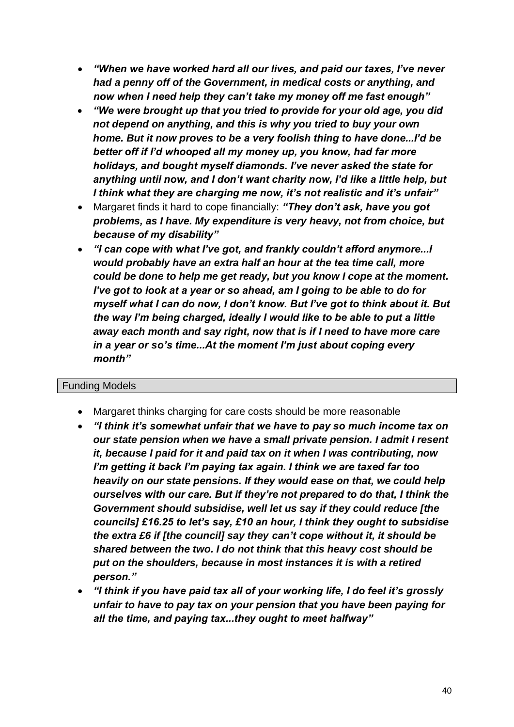- *"When we have worked hard all our lives, and paid our taxes, I"ve never had a penny off of the Government, in medical costs or anything, and now when I need help they can"t take my money off me fast enough"*
- *"We were brought up that you tried to provide for your old age, you did not depend on anything, and this is why you tried to buy your own home. But it now proves to be a very foolish thing to have done...I"d be better off if I"d whooped all my money up, you know, had far more holidays, and bought myself diamonds. I"ve never asked the state for anything until now, and I don"t want charity now, I"d like a little help, but I think what they are charging me now, it"s not realistic and it"s unfair"*
- Margaret finds it hard to cope financially: *"They don"t ask, have you got problems, as I have. My expenditure is very heavy, not from choice, but because of my disability"*
- *"I can cope with what I"ve got, and frankly couldn"t afford anymore...I would probably have an extra half an hour at the tea time call, more could be done to help me get ready, but you know I cope at the moment. I"ve got to look at a year or so ahead, am I going to be able to do for myself what I can do now, I don"t know. But I"ve got to think about it. But the way I"m being charged, ideally I would like to be able to put a little away each month and say right, now that is if I need to have more care in a year or so"s time...At the moment I"m just about coping every month"*

#### Funding Models

- Margaret thinks charging for care costs should be more reasonable
- *"I think it"s somewhat unfair that we have to pay so much income tax on our state pension when we have a small private pension. I admit I resent it, because I paid for it and paid tax on it when I was contributing, now I"m getting it back I"m paying tax again. I think we are taxed far too heavily on our state pensions. If they would ease on that, we could help ourselves with our care. But if they"re not prepared to do that, I think the Government should subsidise, well let us say if they could reduce [the councils] £16.25 to let"s say, £10 an hour, I think they ought to subsidise the extra £6 if [the council] say they can"t cope without it, it should be shared between the two. I do not think that this heavy cost should be put on the shoulders, because in most instances it is with a retired person."*
- *"I think if you have paid tax all of your working life, I do feel it"s grossly unfair to have to pay tax on your pension that you have been paying for all the time, and paying tax...they ought to meet halfway"*